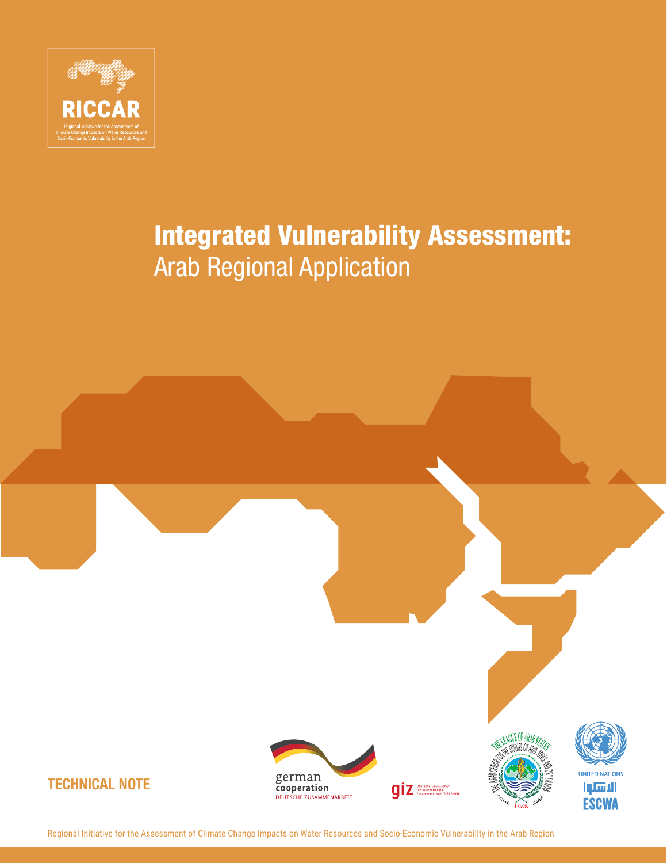

# Integrated Vulnerability Assessment: Arab Regional Application

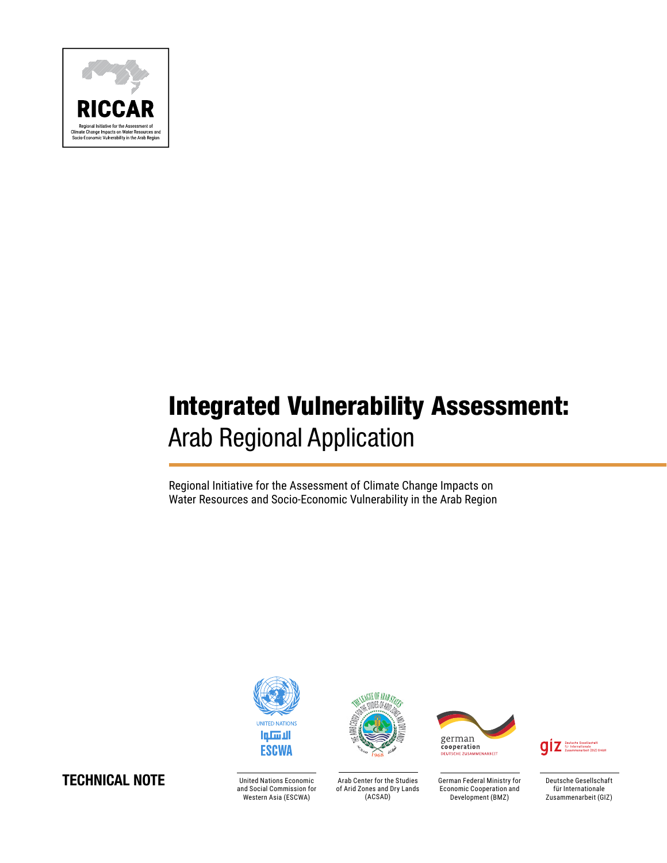

# Integrated Vulnerability Assessment: Arab Regional Application

Regional Initiative for the Assessment of Climate Change Impacts on Water Resources and Socio-Economic Vulnerability in the Arab Region





United Nations Economic and Social Commission for Western Asia (ESCWA)



Arab Center for the Studies of Arid Zones and Dry Lands (ACSAD)



German Federal Ministry for Economic Cooperation and Development (BMZ)

**QIZ** für Interna

Deutsche Gesellschaft für Internationale Zusammenarbeit (GIZ)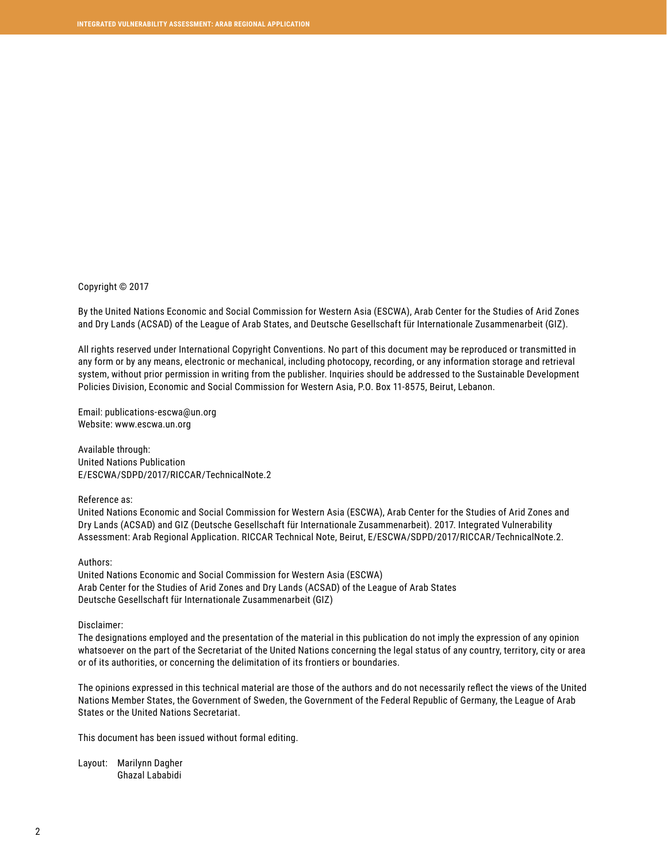#### Copyright © 2017

By the United Nations Economic and Social Commission for Western Asia (ESCWA), Arab Center for the Studies of Arid Zones and Dry Lands (ACSAD) of the League of Arab States, and Deutsche Gesellschaft für Internationale Zusammenarbeit (GIZ).

All rights reserved under International Copyright Conventions. No part of this document may be reproduced or transmitted in any form or by any means, electronic or mechanical, including photocopy, recording, or any information storage and retrieval system, without prior permission in writing from the publisher. Inquiries should be addressed to the Sustainable Development Policies Division, Economic and Social Commission for Western Asia, P.O. Box 11-8575, Beirut, Lebanon.

Email: publications-escwa@un.org Website: www.escwa.un.org

Available through: United Nations Publication E/ESCWA/SDPD/2017/RICCAR/TechnicalNote.2

Reference as:

United Nations Economic and Social Commission for Western Asia (ESCWA), Arab Center for the Studies of Arid Zones and Dry Lands (ACSAD) and GIZ (Deutsche Gesellschaft für Internationale Zusammenarbeit). 2017. Integrated Vulnerability Assessment: Arab Regional Application. RICCAR Technical Note, Beirut, E/ESCWA/SDPD/2017/RICCAR/TechnicalNote.2.

#### Authors:

United Nations Economic and Social Commission for Western Asia (ESCWA) Arab Center for the Studies of Arid Zones and Dry Lands (ACSAD) of the League of Arab States Deutsche Gesellschaft für Internationale Zusammenarbeit (GIZ)

#### Disclaimer:

The designations employed and the presentation of the material in this publication do not imply the expression of any opinion whatsoever on the part of the Secretariat of the United Nations concerning the legal status of any country, territory, city or area or of its authorities, or concerning the delimitation of its frontiers or boundaries.

The opinions expressed in this technical material are those of the authors and do not necessarily reflect the views of the United Nations Member States, the Government of Sweden, the Government of the Federal Republic of Germany, the League of Arab States or the United Nations Secretariat.

This document has been issued without formal editing.

Layout: Marilynn Dagher Ghazal Lababidi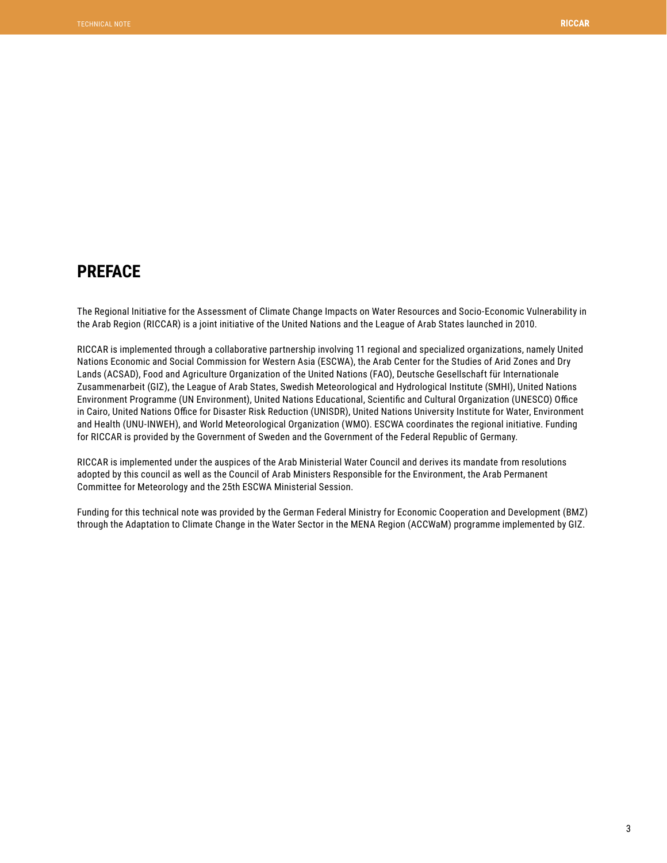# <span id="page-3-0"></span>**PREFACE**

The Regional Initiative for the Assessment of Climate Change Impacts on Water Resources and Socio-Economic Vulnerability in the Arab Region (RICCAR) is a joint initiative of the United Nations and the League of Arab States launched in 2010.

RICCAR is implemented through a collaborative partnership involving 11 regional and specialized organizations, namely United Nations Economic and Social Commission for Western Asia (ESCWA), the Arab Center for the Studies of Arid Zones and Dry Lands (ACSAD), Food and Agriculture Organization of the United Nations (FAO), Deutsche Gesellschaft für Internationale Zusammenarbeit (GIZ), the League of Arab States, Swedish Meteorological and Hydrological Institute (SMHI), United Nations Environment Programme (UN Environment), United Nations Educational, Scientific and Cultural Organization (UNESCO) Office in Cairo, United Nations Office for Disaster Risk Reduction (UNISDR), United Nations University Institute for Water, Environment and Health (UNU-INWEH), and World Meteorological Organization (WMO). ESCWA coordinates the regional initiative. Funding for RICCAR is provided by the Government of Sweden and the Government of the Federal Republic of Germany.

RICCAR is implemented under the auspices of the Arab Ministerial Water Council and derives its mandate from resolutions adopted by this council as well as the Council of Arab Ministers Responsible for the Environment, the Arab Permanent Committee for Meteorology and the 25th ESCWA Ministerial Session.

Funding for this technical note was provided by the German Federal Ministry for Economic Cooperation and Development (BMZ) through the Adaptation to Climate Change in the Water Sector in the MENA Region (ACCWaM) programme implemented by GIZ.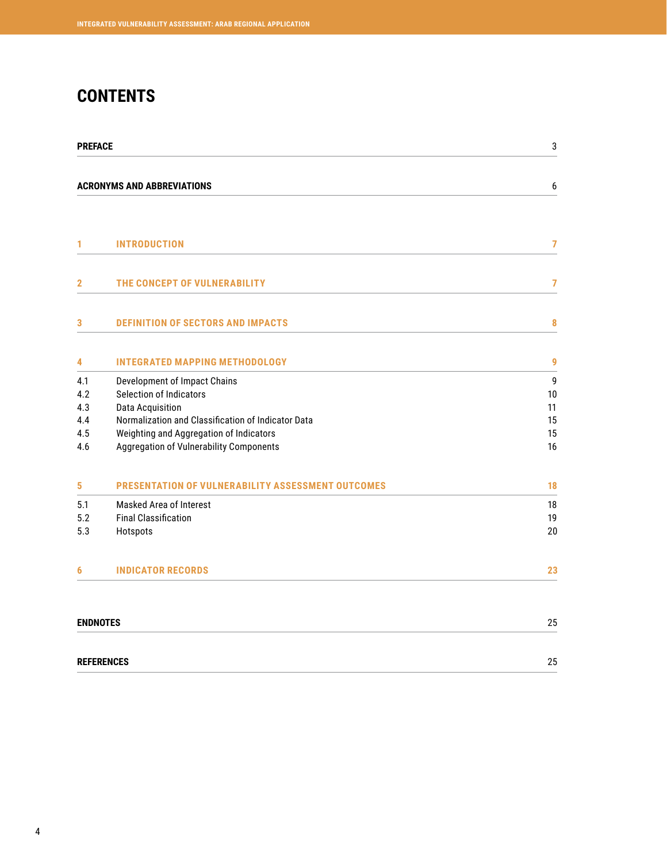# **CONTENTS**

| <b>PREFACE</b>  |                                                                                    | 3              |
|-----------------|------------------------------------------------------------------------------------|----------------|
|                 | <b>ACRONYMS AND ABBREVIATIONS</b>                                                  | 6              |
|                 |                                                                                    |                |
| 1               | <b>INTRODUCTION</b>                                                                | $\overline{7}$ |
| $\mathbf{2}$    | THE CONCEPT OF VULNERABILITY                                                       | 7              |
| 3               | <b>DEFINITION OF SECTORS AND IMPACTS</b>                                           | 8              |
| 4               | <b>INTEGRATED MAPPING METHODOLOGY</b>                                              | 9              |
| 4.1             | Development of Impact Chains                                                       | 9              |
| 4.2             | Selection of Indicators                                                            | 10             |
| 4.3             | <b>Data Acquisition</b>                                                            | 11             |
| 4.4<br>4.5      | Normalization and Classification of Indicator Data                                 | 15<br>15       |
| 4.6             | Weighting and Aggregation of Indicators<br>Aggregation of Vulnerability Components | 16             |
| 5               | <b>PRESENTATION OF VULNERABILITY ASSESSMENT OUTCOMES</b>                           | 18             |
| 5.1             | Masked Area of Interest                                                            | 18             |
| 5.2             | <b>Final Classification</b>                                                        | 19             |
| 5.3             | Hotspots                                                                           | 20             |
| 6               | <b>INDICATOR RECORDS</b>                                                           | 23             |
| <b>ENDNOTES</b> |                                                                                    | 25             |
|                 | <b>REFERENCES</b>                                                                  | 25             |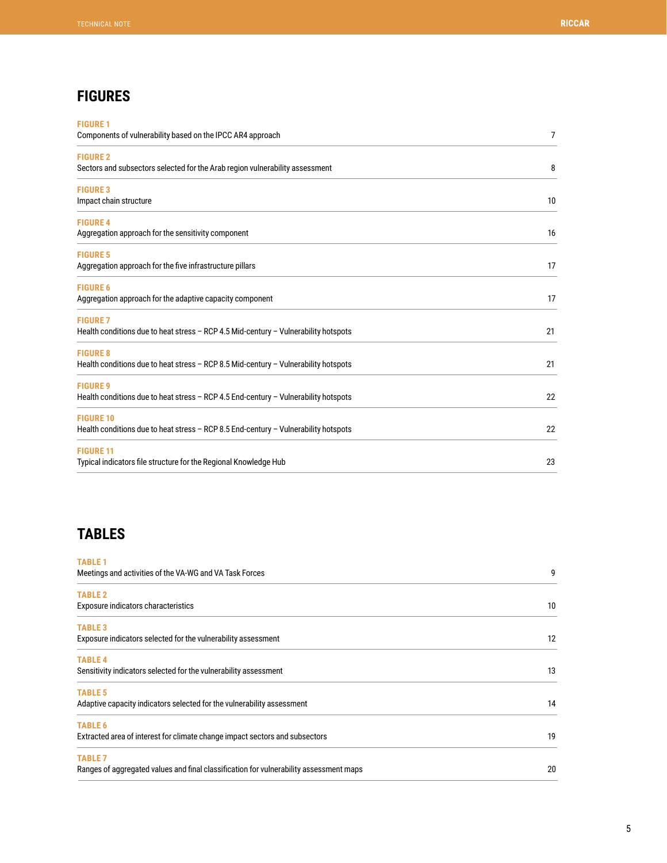# **FIGURES**

| <b>FIGURE 1</b><br>Components of vulnerability based on the IPCC AR4 approach                           | 7  |
|---------------------------------------------------------------------------------------------------------|----|
| <b>FIGURE 2</b>                                                                                         |    |
| Sectors and subsectors selected for the Arab region vulnerability assessment                            | 8  |
| <b>FIGURE 3</b><br>Impact chain structure                                                               | 10 |
| <b>FIGURE 4</b><br>Aggregation approach for the sensitivity component                                   | 16 |
| <b>FIGURE 5</b><br>Aggregation approach for the five infrastructure pillars                             | 17 |
| <b>FIGURE 6</b><br>Aggregation approach for the adaptive capacity component                             | 17 |
| <b>FIGURE 7</b><br>Health conditions due to heat stress - RCP 4.5 Mid-century - Vulnerability hotspots  | 21 |
| <b>FIGURE 8</b><br>Health conditions due to heat stress - RCP 8.5 Mid-century - Vulnerability hotspots  | 21 |
| <b>FIGURE 9</b><br>Health conditions due to heat stress - RCP 4.5 End-century - Vulnerability hotspots  | 22 |
| <b>FIGURE 10</b><br>Health conditions due to heat stress - RCP 8.5 End-century - Vulnerability hotspots | 22 |
| <b>FIGURE 11</b><br>Typical indicators file structure for the Regional Knowledge Hub                    | 23 |

# **TABLES**

| <b>TABLE 1</b>                                                                         |    |
|----------------------------------------------------------------------------------------|----|
| Meetings and activities of the VA-WG and VA Task Forces                                | 9  |
| <b>TABLE 2</b>                                                                         |    |
| Exposure indicators characteristics                                                    | 10 |
| <b>TABLE 3</b>                                                                         |    |
| Exposure indicators selected for the vulnerability assessment                          | 12 |
| <b>TABLE 4</b>                                                                         |    |
| Sensitivity indicators selected for the vulnerability assessment                       | 13 |
| <b>TABLE 5</b>                                                                         |    |
| Adaptive capacity indicators selected for the vulnerability assessment                 | 14 |
| <b>TABLE 6</b>                                                                         |    |
| Extracted area of interest for climate change impact sectors and subsectors            | 19 |
| <b>TABLE 7</b>                                                                         |    |
| Ranges of aggregated values and final classification for vulnerability assessment maps | 20 |
|                                                                                        |    |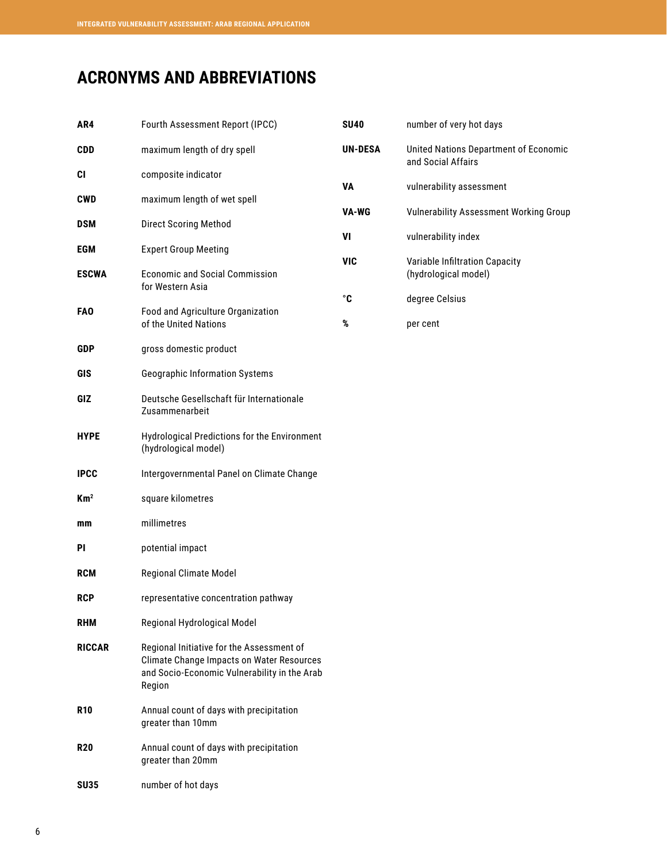# <span id="page-6-0"></span>**ACRONYMS AND ABBREVIATIONS**

| AR4             | Fourth Assessment Report (IPCC)                                                                                                                         | <b>SU40</b>    | number of very hot days                                     |
|-----------------|---------------------------------------------------------------------------------------------------------------------------------------------------------|----------------|-------------------------------------------------------------|
| <b>CDD</b>      | maximum length of dry spell                                                                                                                             | <b>UN-DESA</b> | United Nations Department of Economic<br>and Social Affairs |
| CI              | composite indicator                                                                                                                                     | <b>VA</b>      | vulnerability assessment                                    |
| <b>CWD</b>      | maximum length of wet spell                                                                                                                             |                |                                                             |
| <b>DSM</b>      | <b>Direct Scoring Method</b>                                                                                                                            | VA-WG          | <b>Vulnerability Assessment Working Group</b>               |
| <b>EGM</b>      | <b>Expert Group Meeting</b>                                                                                                                             | VI             | vulnerability index                                         |
| <b>ESCWA</b>    | <b>Economic and Social Commission</b><br>for Western Asia                                                                                               | <b>VIC</b>     | Variable Infiltration Capacity<br>(hydrological model)      |
|                 |                                                                                                                                                         | $^{\circ}$ C   | degree Celsius                                              |
| <b>FAO</b>      | Food and Agriculture Organization<br>of the United Nations                                                                                              | %              | per cent                                                    |
| <b>GDP</b>      | gross domestic product                                                                                                                                  |                |                                                             |
| GIS             | <b>Geographic Information Systems</b>                                                                                                                   |                |                                                             |
| GIZ             | Deutsche Gesellschaft für Internationale<br>Zusammenarbeit                                                                                              |                |                                                             |
| <b>HYPE</b>     | Hydrological Predictions for the Environment<br>(hydrological model)                                                                                    |                |                                                             |
| <b>IPCC</b>     | Intergovernmental Panel on Climate Change                                                                                                               |                |                                                             |
| Km <sup>2</sup> | square kilometres                                                                                                                                       |                |                                                             |
| mm              | millimetres                                                                                                                                             |                |                                                             |
| PI              | potential impact                                                                                                                                        |                |                                                             |
| <b>RCM</b>      | Regional Climate Model                                                                                                                                  |                |                                                             |
| <b>RCP</b>      | representative concentration pathway                                                                                                                    |                |                                                             |
| <b>RHM</b>      | Regional Hydrological Model                                                                                                                             |                |                                                             |
| <b>RICCAR</b>   | Regional Initiative for the Assessment of<br><b>Climate Change Impacts on Water Resources</b><br>and Socio-Economic Vulnerability in the Arab<br>Region |                |                                                             |
| <b>R10</b>      | Annual count of days with precipitation<br>greater than 10mm                                                                                            |                |                                                             |
| <b>R20</b>      | Annual count of days with precipitation<br>greater than 20mm                                                                                            |                |                                                             |
| <b>SU35</b>     | number of hot days                                                                                                                                      |                |                                                             |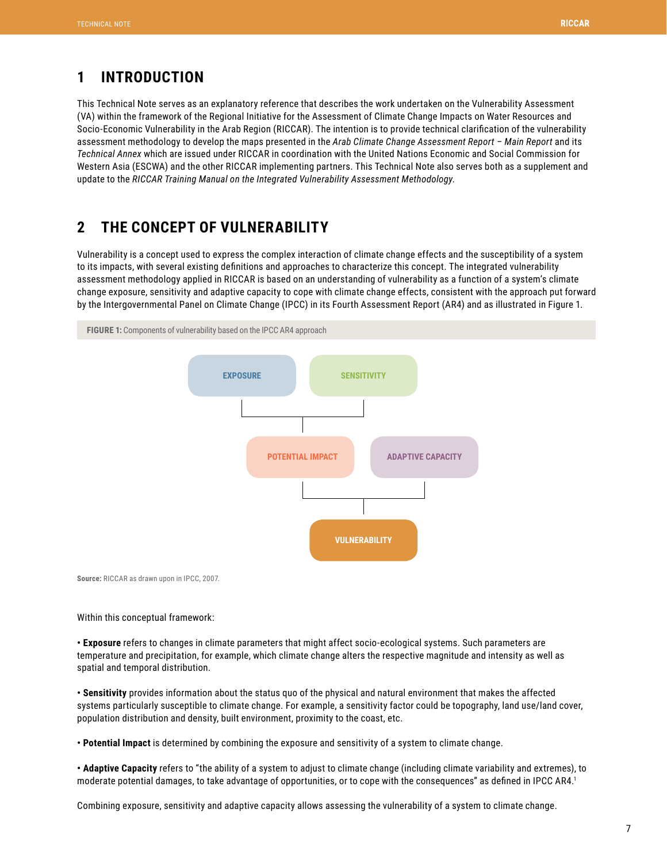# <span id="page-7-0"></span>**1 INTRODUCTION**

This Technical Note serves as an explanatory reference that describes the work undertaken on the Vulnerability Assessment (VA) within the framework of the Regional Initiative for the Assessment of Climate Change Impacts on Water Resources and Socio-Economic Vulnerability in the Arab Region (RICCAR). The intention is to provide technical clarification of the vulnerability assessment methodology to develop the maps presented in the *Arab Climate Change Assessment Report – Main Report* and its *Technical Annex* which are issued under RICCAR in coordination with the United Nations Economic and Social Commission for Western Asia (ESCWA) and the other RICCAR implementing partners. This Technical Note also serves both as a supplement and update to the *RICCAR Training Manual on the Integrated Vulnerability Assessment Methodology*.

# **2 THE CONCEPT OF VULNERABILITY**

Vulnerability is a concept used to express the complex interaction of climate change effects and the susceptibility of a system to its impacts, with several existing definitions and approaches to characterize this concept. The integrated vulnerability assessment methodology applied in RICCAR is based on an understanding of vulnerability as a function of a system's climate change exposure, sensitivity and adaptive capacity to cope with climate change effects, consistent with the approach put forward by the Intergovernmental Panel on Climate Change (IPCC) in its Fourth Assessment Report (AR4) and as illustrated in Figure 1.



Within this conceptual framework:

**• Exposure** refers to changes in climate parameters that might affect socio-ecological systems. Such parameters are temperature and precipitation, for example, which climate change alters the respective magnitude and intensity as well as spatial and temporal distribution.

**• Sensitivity** provides information about the status quo of the physical and natural environment that makes the affected systems particularly susceptible to climate change. For example, a sensitivity factor could be topography, land use/land cover, population distribution and density, built environment, proximity to the coast, etc.

**• Potential Impact** is determined by combining the exposure and sensitivity of a system to climate change.

**• Adaptive Capacity** refers to "the ability of a system to adjust to climate change (including climate variability and extremes), to moderate potential damages, to take advantage of opportunities, or to cope with the consequences" as defined in IPCC AR4.<sup>1</sup>

Combining exposure, sensitivity and adaptive capacity allows assessing the vulnerability of a system to climate change.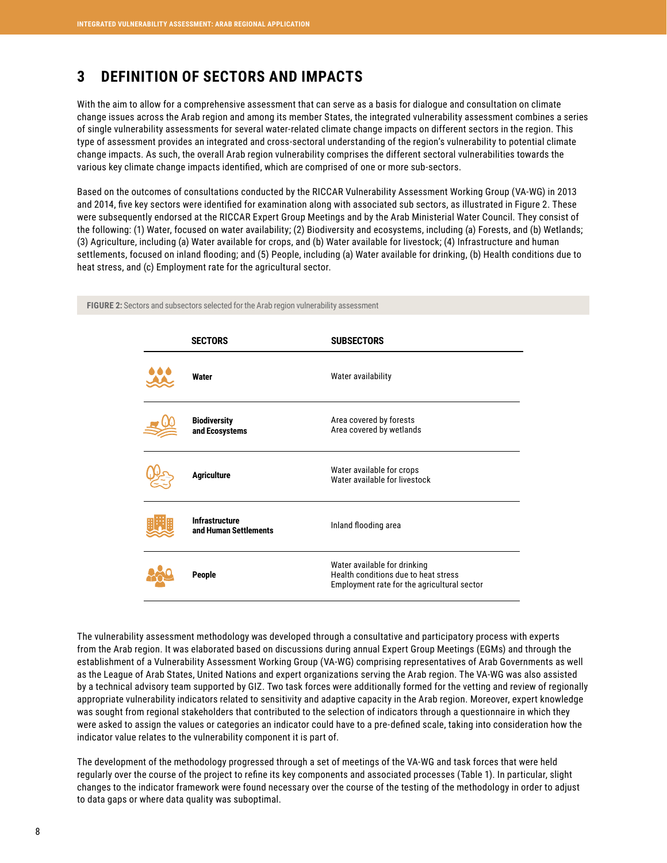# <span id="page-8-0"></span>**3 DEFINITION OF SECTORS AND IMPACTS**

With the aim to allow for a comprehensive assessment that can serve as a basis for dialogue and consultation on climate change issues across the Arab region and among its member States, the integrated vulnerability assessment combines a series of single vulnerability assessments for several water-related climate change impacts on different sectors in the region. This type of assessment provides an integrated and cross-sectoral understanding of the region's vulnerability to potential climate change impacts. As such, the overall Arab region vulnerability comprises the different sectoral vulnerabilities towards the various key climate change impacts identified, which are comprised of one or more sub-sectors.

Based on the outcomes of consultations conducted by the RICCAR Vulnerability Assessment Working Group (VA-WG) in 2013 and 2014, five key sectors were identified for examination along with associated sub sectors, as illustrated in Figure 2. These were subsequently endorsed at the RICCAR Expert Group Meetings and by the Arab Ministerial Water Council. They consist of the following: (1) Water, focused on water availability; (2) Biodiversity and ecosystems, including (a) Forests, and (b) Wetlands; (3) Agriculture, including (a) Water available for crops, and (b) Water available for livestock; (4) Infrastructure and human settlements, focused on inland flooding; and (5) People, including (a) Water available for drinking, (b) Health conditions due to heat stress, and (c) Employment rate for the agricultural sector.

| <b>SECTORS</b>                                 | <b>SUBSECTORS</b>                                                                                                   |
|------------------------------------------------|---------------------------------------------------------------------------------------------------------------------|
| Water                                          | Water availability                                                                                                  |
| <b>Biodiversity</b><br>and Ecosystems          | Area covered by forests<br>Area covered by wetlands                                                                 |
| <b>Agriculture</b>                             | Water available for crops<br>Water available for livestock                                                          |
| <b>Infrastructure</b><br>and Human Settlements | Inland flooding area                                                                                                |
| <b>People</b>                                  | Water available for drinking<br>Health conditions due to heat stress<br>Employment rate for the agricultural sector |

**FIGURE 2:** Sectors and subsectors selected for the Arab region vulnerability assessment

The vulnerability assessment methodology was developed through a consultative and participatory process with experts from the Arab region. It was elaborated based on discussions during annual Expert Group Meetings (EGMs) and through the establishment of a Vulnerability Assessment Working Group (VA-WG) comprising representatives of Arab Governments as well as the League of Arab States, United Nations and expert organizations serving the Arab region. The VA-WG was also assisted by a technical advisory team supported by GIZ. Two task forces were additionally formed for the vetting and review of regionally appropriate vulnerability indicators related to sensitivity and adaptive capacity in the Arab region. Moreover, expert knowledge was sought from regional stakeholders that contributed to the selection of indicators through a questionnaire in which they were asked to assign the values or categories an indicator could have to a pre-defined scale, taking into consideration how the indicator value relates to the vulnerability component it is part of.

The development of the methodology progressed through a set of meetings of the VA-WG and task forces that were held regularly over the course of the project to refine its key components and associated processes (Table 1). In particular, slight changes to the indicator framework were found necessary over the course of the testing of the methodology in order to adjust to data gaps or where data quality was suboptimal.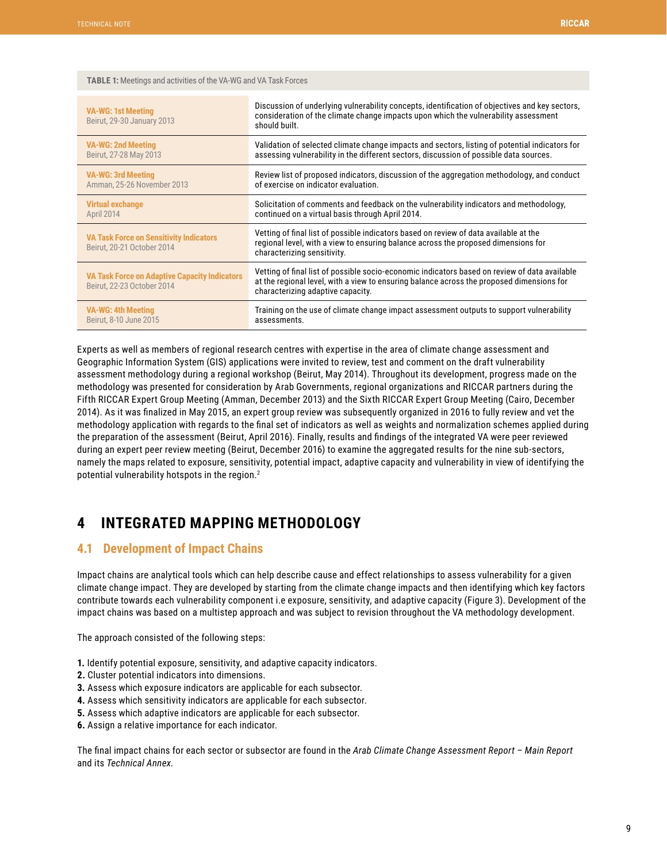<span id="page-9-0"></span>

| <b>VA-WG: 1st Meeting</b><br>Beirut, 29-30 January 2013                            | Discussion of underlying vulnerability concepts, identification of objectives and key sectors,<br>consideration of the climate change impacts upon which the vulnerability assessment<br>should built.                          |
|------------------------------------------------------------------------------------|---------------------------------------------------------------------------------------------------------------------------------------------------------------------------------------------------------------------------------|
| <b>VA-WG: 2nd Meeting</b>                                                          | Validation of selected climate change impacts and sectors, listing of potential indicators for                                                                                                                                  |
| Beirut, 27-28 May 2013                                                             | assessing vulnerability in the different sectors, discussion of possible data sources.                                                                                                                                          |
| <b>VA-WG: 3rd Meeting</b>                                                          | Review list of proposed indicators, discussion of the aggregation methodology, and conduct                                                                                                                                      |
| Amman, 25-26 November 2013                                                         | of exercise on indicator evaluation.                                                                                                                                                                                            |
| <b>Virtual exchange</b>                                                            | Solicitation of comments and feedback on the vulnerability indicators and methodology,                                                                                                                                          |
| April 2014                                                                         | continued on a virtual basis through April 2014.                                                                                                                                                                                |
| <b>VA Task Force on Sensitivity Indicators</b><br>Beirut. 20-21 October 2014       | Vetting of final list of possible indicators based on review of data available at the<br>regional level, with a view to ensuring balance across the proposed dimensions for<br>characterizing sensitivity.                      |
| <b>VA Task Force on Adaptive Capacity Indicators</b><br>Beirut, 22-23 October 2014 | Vetting of final list of possible socio-economic indicators based on review of data available<br>at the regional level, with a view to ensuring balance across the proposed dimensions for<br>characterizing adaptive capacity. |
| <b>VA-WG: 4th Meeting</b>                                                          | Training on the use of climate change impact assessment outputs to support vulnerability                                                                                                                                        |
| Beirut, 8-10 June 2015                                                             | assessments.                                                                                                                                                                                                                    |

Experts as well as members of regional research centres with expertise in the area of climate change assessment and Geographic Information System (GIS) applications were invited to review, test and comment on the draft vulnerability assessment methodology during a regional workshop (Beirut, May 2014). Throughout its development, progress made on the methodology was presented for consideration by Arab Governments, regional organizations and RICCAR partners during the Fifth RICCAR Expert Group Meeting (Amman, December 2013) and the Sixth RICCAR Expert Group Meeting (Cairo, December 2014). As it was finalized in May 2015, an expert group review was subsequently organized in 2016 to fully review and vet the methodology application with regards to the final set of indicators as well as weights and normalization schemes applied during the preparation of the assessment (Beirut, April 2016). Finally, results and findings of the integrated VA were peer reviewed during an expert peer review meeting (Beirut, December 2016) to examine the aggregated results for the nine sub-sectors, namely the maps related to exposure, sensitivity, potential impact, adaptive capacity and vulnerability in view of identifying the potential vulnerability hotspots in the region.2

# **4 INTEGRATED MAPPING METHODOLOGY**

## **4.1 Development of Impact Chains**

Impact chains are analytical tools which can help describe cause and effect relationships to assess vulnerability for a given climate change impact. They are developed by starting from the climate change impacts and then identifying which key factors contribute towards each vulnerability component i.e exposure, sensitivity, and adaptive capacity (Figure 3). Development of the impact chains was based on a multistep approach and was subject to revision throughout the VA methodology development.

The approach consisted of the following steps:

- **1.** Identify potential exposure, sensitivity, and adaptive capacity indicators.
- **2.** Cluster potential indicators into dimensions.
- **3.** Assess which exposure indicators are applicable for each subsector.
- **4.** Assess which sensitivity indicators are applicable for each subsector.
- **5.** Assess which adaptive indicators are applicable for each subsector.
- **6.** Assign a relative importance for each indicator.

The final impact chains for each sector or subsector are found in the *Arab Climate Change Assessment Report – Main Report* and its *Technical Annex.*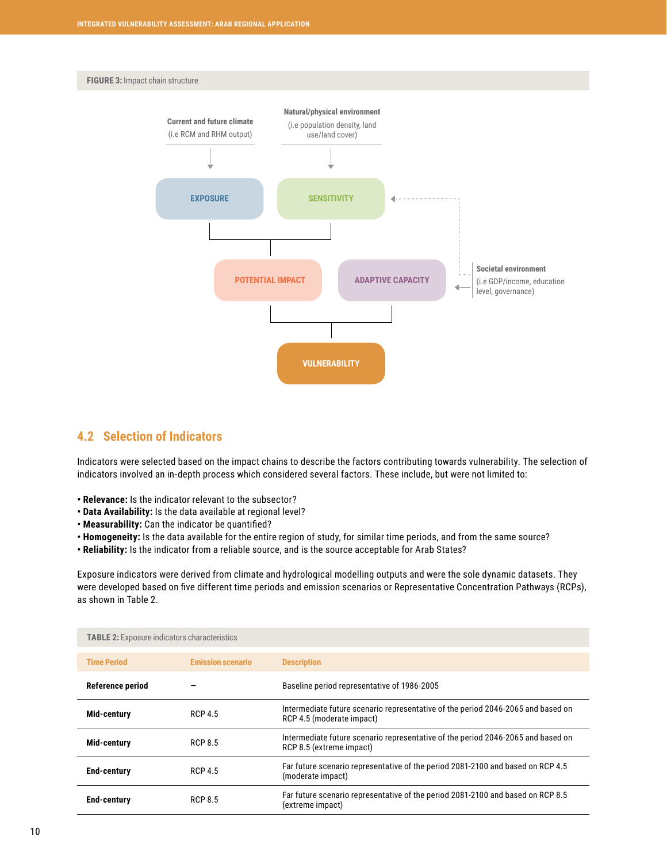<span id="page-10-0"></span>



## **4.2 Selection of Indicators**

Indicators were selected based on the impact chains to describe the factors contributing towards vulnerability. The selection of indicators involved an in-depth process which considered several factors. These include, but were not limited to:

- **Relevance:** Is the indicator relevant to the subsector?
- **Data Availability:** Is the data available at regional level?
- **Measurability:** Can the indicator be quantified?
- **Homogeneity:** Is the data available for the entire region of study, for similar time periods, and from the same source?
- **Reliability:** Is the indicator from a reliable source, and is the source acceptable for Arab States?

Exposure indicators were derived from climate and hydrological modelling outputs and were the sole dynamic datasets. They were developed based on five different time periods and emission scenarios or Representative Concentration Pathways (RCPs), as shown in Table 2.

| <b>TABLE 2:</b> Exposure indicators characteristics |                          |                                                                                                               |
|-----------------------------------------------------|--------------------------|---------------------------------------------------------------------------------------------------------------|
| <b>Time Period</b>                                  | <b>Emission scenario</b> | <b>Description</b>                                                                                            |
| Reference period                                    |                          | Baseline period representative of 1986-2005                                                                   |
| Mid-century                                         | <b>RCP 4.5</b>           | Intermediate future scenario representative of the period 2046-2065 and based on<br>RCP 4.5 (moderate impact) |
| Mid-century                                         | <b>RCP 8.5</b>           | Intermediate future scenario representative of the period 2046-2065 and based on<br>RCP 8.5 (extreme impact)  |
| <b>End-century</b>                                  | <b>RCP 4.5</b>           | Far future scenario representative of the period 2081-2100 and based on RCP 4.5<br>(moderate impact)          |
| <b>End-century</b>                                  | <b>RCP 8.5</b>           | Far future scenario representative of the period 2081-2100 and based on RCP 8.5<br>(extreme impact)           |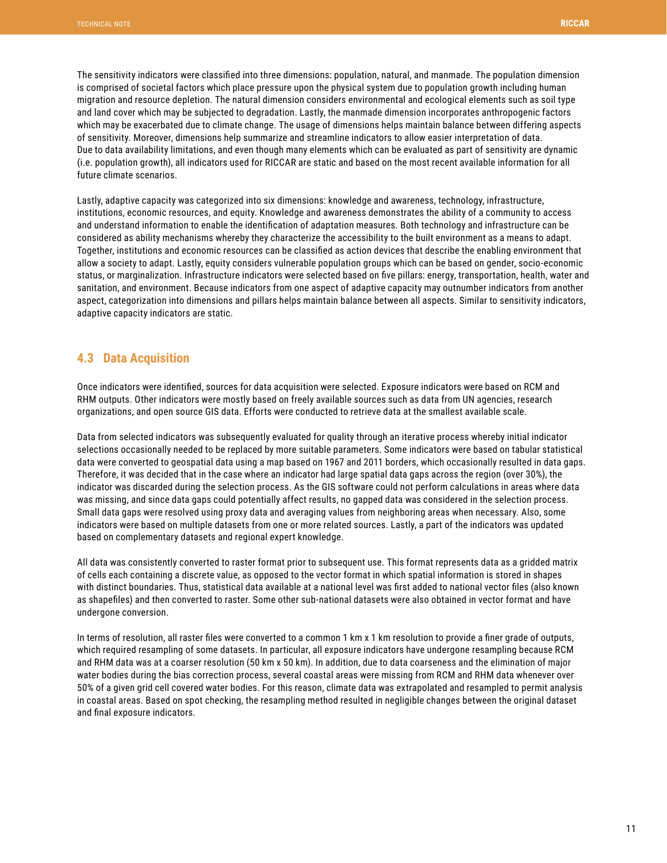<span id="page-11-0"></span>The sensitivity indicators were classified into three dimensions: population, natural, and manmade. The population dimension is comprised of societal factors which place pressure upon the physical system due to population growth including human migration and resource depletion. The natural dimension considers environmental and ecological elements such as soil type and land cover which may be subjected to degradation. Lastly, the manmade dimension incorporates anthropogenic factors which may be exacerbated due to climate change. The usage of dimensions helps maintain balance between differing aspects of sensitivity. Moreover, dimensions help summarize and streamline indicators to allow easier interpretation of data. Due to data availability limitations, and even though many elements which can be evaluated as part of sensitivity are dynamic (i.e. population growth), all indicators used for RICCAR are static and based on the most recent available information for all future climate scenarios.

Lastly, adaptive capacity was categorized into six dimensions: knowledge and awareness, technology, infrastructure, institutions, economic resources, and equity. Knowledge and awareness demonstrates the ability of a community to access and understand information to enable the identification of adaptation measures. Both technology and infrastructure can be considered as ability mechanisms whereby they characterize the accessibility to the built environment as a means to adapt. Together, institutions and economic resources can be classified as action devices that describe the enabling environment that allow a society to adapt. Lastly, equity considers vulnerable population groups which can be based on gender, socio-economic status, or marginalization. Infrastructure indicators were selected based on five pillars: energy, transportation, health, water and sanitation, and environment. Because indicators from one aspect of adaptive capacity may outnumber indicators from another aspect, categorization into dimensions and pillars helps maintain balance between all aspects. Similar to sensitivity indicators, adaptive capacity indicators are static.

## **4.3 Data Acquisition**

Once indicators were identified, sources for data acquisition were selected. Exposure indicators were based on RCM and RHM outputs. Other indicators were mostly based on freely available sources such as data from UN agencies, research organizations, and open source GIS data. Efforts were conducted to retrieve data at the smallest available scale.

Data from selected indicators was subsequently evaluated for quality through an iterative process whereby initial indicator selections occasionally needed to be replaced by more suitable parameters. Some indicators were based on tabular statistical data were converted to geospatial data using a map based on 1967 and 2011 borders, which occasionally resulted in data gaps. Therefore, it was decided that in the case where an indicator had large spatial data gaps across the region (over 30%), the indicator was discarded during the selection process. As the GIS software could not perform calculations in areas where data was missing, and since data gaps could potentially affect results, no gapped data was considered in the selection process. Small data gaps were resolved using proxy data and averaging values from neighboring areas when necessary. Also, some indicators were based on multiple datasets from one or more related sources. Lastly, a part of the indicators was updated based on complementary datasets and regional expert knowledge.

All data was consistently converted to raster format prior to subsequent use. This format represents data as a gridded matrix of cells each containing a discrete value, as opposed to the vector format in which spatial information is stored in shapes with distinct boundaries. Thus, statistical data available at a national level was first added to national vector files (also known as shapefiles) and then converted to raster. Some other sub-national datasets were also obtained in vector format and have undergone conversion.

In terms of resolution, all raster files were converted to a common 1 km x 1 km resolution to provide a finer grade of outputs, which required resampling of some datasets. In particular, all exposure indicators have undergone resampling because RCM and RHM data was at a coarser resolution (50 km x 50 km). In addition, due to data coarseness and the elimination of major water bodies during the bias correction process, several coastal areas were missing from RCM and RHM data whenever over 50% of a given grid cell covered water bodies. For this reason, climate data was extrapolated and resampled to permit analysis in coastal areas. Based on spot checking, the resampling method resulted in negligible changes between the original dataset and final exposure indicators.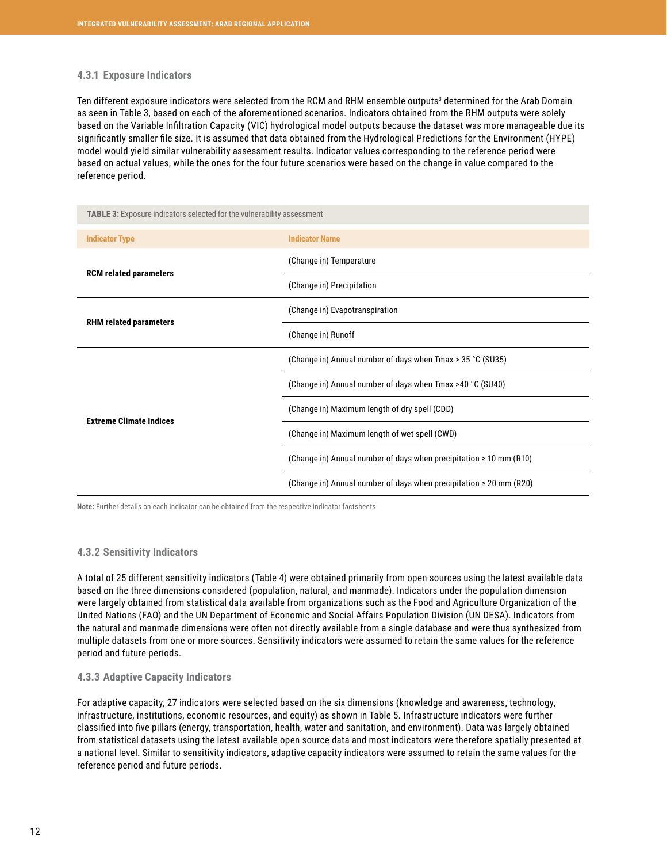#### <span id="page-12-0"></span>**4.3.1 Exposure Indicators**

Ten different exposure indicators were selected from the RCM and RHM ensemble outputs<sup>3</sup> determined for the Arab Domain as seen in Table 3, based on each of the aforementioned scenarios. Indicators obtained from the RHM outputs were solely based on the Variable Infiltration Capacity (VIC) hydrological model outputs because the dataset was more manageable due its significantly smaller file size. It is assumed that data obtained from the Hydrological Predictions for the Environment (HYPE) model would yield similar vulnerability assessment results. Indicator values corresponding to the reference period were based on actual values, while the ones for the four future scenarios were based on the change in value compared to the reference period.

| <b>TABLE 3:</b> Exposure indicators selected for the vulnerability assessment |                                                                         |
|-------------------------------------------------------------------------------|-------------------------------------------------------------------------|
| <b>Indicator Type</b>                                                         | <b>Indicator Name</b>                                                   |
|                                                                               | (Change in) Temperature                                                 |
| <b>RCM related parameters</b>                                                 | (Change in) Precipitation                                               |
|                                                                               | (Change in) Evapotranspiration                                          |
| <b>RHM related parameters</b>                                                 | (Change in) Runoff                                                      |
|                                                                               | (Change in) Annual number of days when Tmax > 35 °C (SU35)              |
|                                                                               | (Change in) Annual number of days when Tmax >40 °C (SU40)               |
|                                                                               | (Change in) Maximum length of dry spell (CDD)                           |
| <b>Extreme Climate Indices</b>                                                | (Change in) Maximum length of wet spell (CWD)                           |
|                                                                               | (Change in) Annual number of days when precipitation $\geq 10$ mm (R10) |
|                                                                               | (Change in) Annual number of days when precipitation $\geq 20$ mm (R20) |

**Note:** Further details on each indicator can be obtained from the respective indicator factsheets.

### **4.3.2 Sensitivity Indicators**

A total of 25 different sensitivity indicators (Table 4) were obtained primarily from open sources using the latest available data based on the three dimensions considered (population, natural, and manmade). Indicators under the population dimension were largely obtained from statistical data available from organizations such as the Food and Agriculture Organization of the United Nations (FAO) and the UN Department of Economic and Social Affairs Population Division (UN DESA). Indicators from the natural and manmade dimensions were often not directly available from a single database and were thus synthesized from multiple datasets from one or more sources. Sensitivity indicators were assumed to retain the same values for the reference period and future periods.

### **4.3.3 Adaptive Capacity Indicators**

For adaptive capacity, 27 indicators were selected based on the six dimensions (knowledge and awareness, technology, infrastructure, institutions, economic resources, and equity) as shown in Table 5. Infrastructure indicators were further classified into five pillars (energy, transportation, health, water and sanitation, and environment). Data was largely obtained from statistical datasets using the latest available open source data and most indicators were therefore spatially presented at a national level. Similar to sensitivity indicators, adaptive capacity indicators were assumed to retain the same values for the reference period and future periods.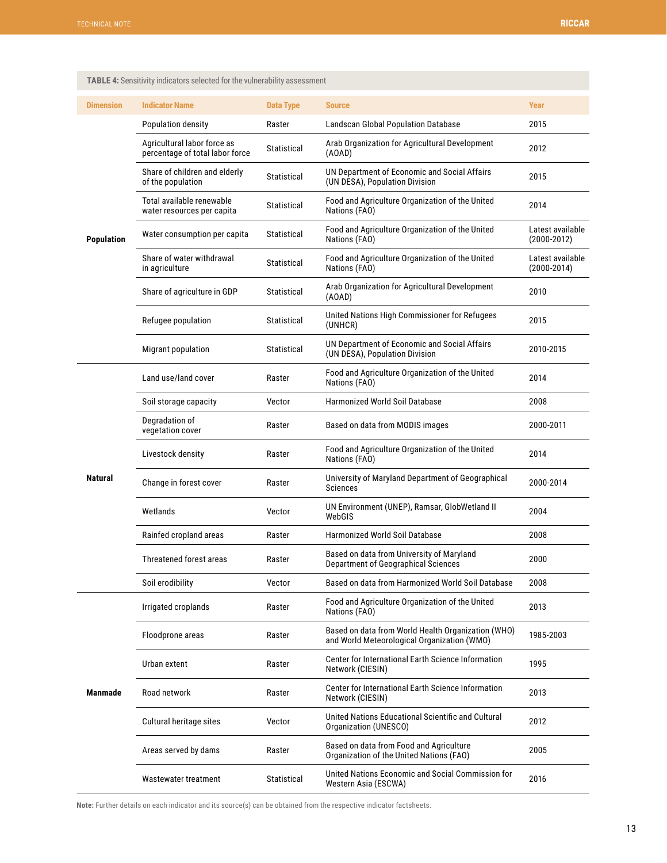| <b>Dimension</b>  | <b>Indicator Name</b>                                          | <b>Data Type</b> | <b>Source</b>                                                                                     | Year                              |
|-------------------|----------------------------------------------------------------|------------------|---------------------------------------------------------------------------------------------------|-----------------------------------|
|                   | Population density                                             | Raster           | <b>Landscan Global Population Database</b>                                                        | 2015                              |
|                   | Agricultural labor force as<br>percentage of total labor force | Statistical      | Arab Organization for Agricultural Development<br>(AOAD)                                          | 2012                              |
|                   | Share of children and elderly<br>of the population             | Statistical      | UN Department of Economic and Social Affairs<br>(UN DESA), Population Division                    | 2015                              |
|                   | Total available renewable<br>water resources per capita        | Statistical      | Food and Agriculture Organization of the United<br>Nations (FAO)                                  | 2014                              |
| <b>Population</b> | Water consumption per capita                                   | Statistical      | Food and Agriculture Organization of the United<br>Nations (FAO)                                  | Latest available<br>(2000-2012)   |
|                   | Share of water withdrawal<br>in agriculture                    | Statistical      | Food and Agriculture Organization of the United<br>Nations (FAO)                                  | Latest available<br>$(2000-2014)$ |
|                   | Share of agriculture in GDP                                    | Statistical      | Arab Organization for Agricultural Development<br>(AOAD)                                          | 2010                              |
|                   | Refugee population                                             | Statistical      | United Nations High Commissioner for Refugees<br>(UNHCR)                                          | 2015                              |
|                   | Migrant population                                             | Statistical      | UN Department of Economic and Social Affairs<br>(UN DESA), Population Division                    | 2010-2015                         |
|                   | Land use/land cover                                            | Raster           | Food and Agriculture Organization of the United<br>Nations (FAO)                                  | 2014                              |
|                   | Soil storage capacity                                          | Vector           | Harmonized World Soil Database                                                                    | 2008                              |
|                   | Degradation of<br>vegetation cover                             | Raster           | Based on data from MODIS images                                                                   | 2000-2011                         |
|                   | Livestock density                                              | Raster           | Food and Agriculture Organization of the United<br>Nations (FAO)                                  | 2014                              |
| <b>Natural</b>    | Change in forest cover                                         | Raster           | University of Maryland Department of Geographical<br>Sciences                                     | 2000-2014                         |
|                   | Wetlands                                                       | Vector           | UN Environment (UNEP), Ramsar, GlobWetland II<br>WebGIS                                           | 2004                              |
|                   | Rainfed cropland areas                                         | Raster           | <b>Harmonized World Soil Database</b>                                                             | 2008                              |
|                   | <b>Threatened forest areas</b>                                 | Raster           | Based on data from University of Maryland<br>Department of Geographical Sciences                  | 2000                              |
|                   | Soil erodibility                                               | Vector           | Based on data from Harmonized World Soil Database                                                 | 2008                              |
|                   | Irrigated croplands                                            | Raster           | Food and Agriculture Organization of the United<br>Nations (FAO)                                  | 2013                              |
|                   | Floodprone areas                                               | Raster           | Based on data from World Health Organization (WHO)<br>and World Meteorological Organization (WMO) | 1985-2003                         |
|                   | Urban extent                                                   | Raster           | Center for International Earth Science Information<br>Network (CIESIN)                            | 1995                              |
| <b>Manmade</b>    | Road network                                                   | Raster           | Center for International Earth Science Information<br>Network (CIESIN)                            | 2013                              |
|                   | Cultural heritage sites                                        | Vector           | United Nations Educational Scientific and Cultural<br>Organization (UNESCO)                       | 2012                              |
|                   | Areas served by dams                                           | Raster           | Based on data from Food and Agriculture<br>Organization of the United Nations (FAO)               | 2005                              |
|                   | Wastewater treatment                                           | Statistical      | United Nations Economic and Social Commission for<br>Western Asia (ESCWA)                         | 2016                              |

<span id="page-13-0"></span>**TABLE 4:** Sensitivity indicators selected for the vulnerability assessment

**Note:** Further details on each indicator and its source(s) can be obtained from the respective indicator factsheets.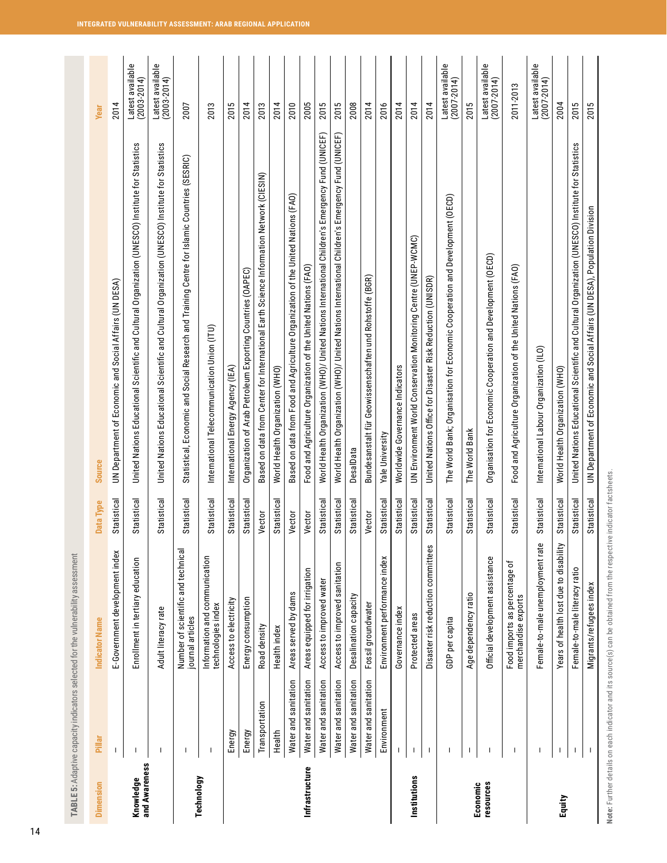<span id="page-14-0"></span>

|                            |                      | TABLE 5: Adaptive capacity indicators selected for the vulnerability assessment |             |                                                                                                   |                                     |
|----------------------------|----------------------|---------------------------------------------------------------------------------|-------------|---------------------------------------------------------------------------------------------------|-------------------------------------|
| <b>Dimension</b>           | Pillar               | <b>Indicator Name</b>                                                           | Data Type   | Source                                                                                            | <b>Year</b>                         |
|                            |                      | E-Government development index                                                  | Statistical | UN Department of Economic and Social Affairs (UN DESA)                                            | 2014                                |
| and Awareness<br>Knowledge |                      | Enrollment in tertiary education                                                | Statistical | United Nations Educational Scientific and Cultural Organization (UNESCO) Institute for Statistics | Latest available<br>$(2003 - 2014)$ |
|                            | ı                    | Adult literacy rate                                                             | Statistical | United Nations Educational Scientific and Cultural Organization (UNESCO) Institute for Statistics | Latest available<br>(2003-2014)     |
|                            |                      | Number of scientific and technical<br>journal articles                          | Statistical | Statistical, Economic and Social Research and Training Centre for Islamic Countries (SESRIC)      | 2007                                |
| Technology                 | -1                   | Information and communication<br>technologies index                             | Statistical | International Telecommunication Union (ITU)                                                       | 2013                                |
|                            | Energy               | Access to electricity                                                           | Statistical | International Energy Agency (IEA)                                                                 | 2015                                |
|                            | Energy               | Energy consumption                                                              | Statistical | Organization of Arab Petroleum Exporting Countries (OAPEC)                                        | 2014                                |
|                            | Transportation       | Road density                                                                    | Vector      | Based on data from Center for International Earth Science Information Network (CIESIN)            | 2013                                |
|                            | Health               | Health index                                                                    | Statistical | World Health Organization (WHO)                                                                   | 2014                                |
|                            | Water and sanitation | Areas served by dams                                                            | Vector      | Based on data from Food and Agriculture Organization of the United Nations (FAO)                  | 2010                                |
| Infrastructure             | Water and sanitation | Areas equipped for irrigation                                                   | Vector      | Food and Agriculture Organization of the United Nations (FAO)                                     | 2005                                |
|                            | Water and sanitation | Access to improved water                                                        | Statistical | World Health Organization (WHO)/ United Nations International Children's Emergency Fund (UNICEF)  | 2015                                |
|                            | Water and sanitation | Access to improved sanitation                                                   | Statistical | World Health Organization (WHO)/ United Nations International Children's Emergency Fund (UNICEF)  | 2015                                |
|                            | Water and sanitation | Desalination capacity                                                           | Statistical | DesalData                                                                                         | 2008                                |
|                            | Water and sanitation | Fossil groundwater                                                              | Vector      | Bundesanstalt für Geowissenschaften und Rohstoffe (BGR)                                           | 2014                                |
|                            | Environment          | Environment performance index                                                   | Statistical | Yale University                                                                                   | 2016                                |
|                            |                      | Governance index                                                                | Statistical | Worldwide Governance Indicators                                                                   | 2014                                |
| Institutions               | -1                   | Protected areas                                                                 | Statistical | UN Environment World Conservation Monitoring Centre (UNEP-WCMC)                                   | 2014                                |
|                            | $\mathbf{I}$         | Disaster risk reduction committees                                              | Statistical | United Nations Office for Disaster Risk Reduction (UNISDR)                                        | 2014                                |
|                            |                      | GDP per capita                                                                  | Statistical | The World Bank; Organisation for Economic Cooperation and Development (OECD)                      | Latest available<br>$(2007 - 2014)$ |
|                            |                      | Age dependency ratio                                                            | Statistical | The World Bank                                                                                    | 2015                                |
| resources<br>Economic      |                      | Official development assistance                                                 | Statistical | Organisation for Economic Cooperation and Development (OECD)                                      | Latest available<br>$(2007 - 2014)$ |
|                            | $\mathbf{I}$         | Food imports as percentage of<br>merchandise exports                            | Statistical | Food and Agriculture Organization of the United Nations (FAO)                                     | 2011-2013                           |
|                            |                      | Female-to-male unemployment rate                                                | Statistical | International Labour Organization (ILO)                                                           | Latest available<br>$(2007 - 2014)$ |
| Equity                     |                      | Years of health lost due to disability                                          | Statistical | World Health Organization (WHO)                                                                   | 2004                                |
|                            |                      | Female-to-male literacy ratio                                                   | Statistical | United Nations Educational Scientific and Cultural Organization (UNESCO) Institute for Statistics | 2015                                |
|                            |                      | Migrants/refugees index                                                         | Statistical | UN Department of Economic and Social Affairs (UN DESA), Population Division                       | 2015                                |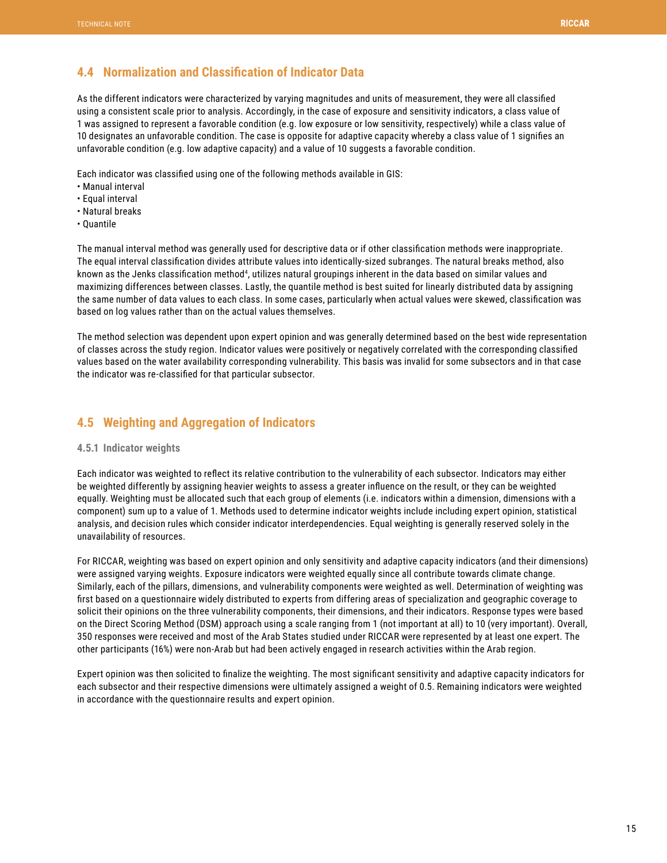## <span id="page-15-0"></span>**4.4 Normalization and Classification of Indicator Data**

As the different indicators were characterized by varying magnitudes and units of measurement, they were all classified using a consistent scale prior to analysis. Accordingly, in the case of exposure and sensitivity indicators, a class value of 1 was assigned to represent a favorable condition (e.g. low exposure or low sensitivity, respectively) while a class value of 10 designates an unfavorable condition. The case is opposite for adaptive capacity whereby a class value of 1 signifies an unfavorable condition (e.g. low adaptive capacity) and a value of 10 suggests a favorable condition.

Each indicator was classified using one of the following methods available in GIS:

- Manual interval
- Equal interval
- Natural breaks
- Quantile

The manual interval method was generally used for descriptive data or if other classification methods were inappropriate. The equal interval classification divides attribute values into identically-sized subranges. The natural breaks method, also known as the Jenks classification method<sup>4</sup>, utilizes natural groupings inherent in the data based on similar values and maximizing differences between classes. Lastly, the quantile method is best suited for linearly distributed data by assigning the same number of data values to each class. In some cases, particularly when actual values were skewed, classification was based on log values rather than on the actual values themselves.

The method selection was dependent upon expert opinion and was generally determined based on the best wide representation of classes across the study region. Indicator values were positively or negatively correlated with the corresponding classified values based on the water availability corresponding vulnerability. This basis was invalid for some subsectors and in that case the indicator was re-classified for that particular subsector.

## **4.5 Weighting and Aggregation of Indicators**

### **4.5.1 Indicator weights**

Each indicator was weighted to reflect its relative contribution to the vulnerability of each subsector. Indicators may either be weighted differently by assigning heavier weights to assess a greater influence on the result, or they can be weighted equally. Weighting must be allocated such that each group of elements (i.e. indicators within a dimension, dimensions with a component) sum up to a value of 1. Methods used to determine indicator weights include including expert opinion, statistical analysis, and decision rules which consider indicator interdependencies. Equal weighting is generally reserved solely in the unavailability of resources.

For RICCAR, weighting was based on expert opinion and only sensitivity and adaptive capacity indicators (and their dimensions) were assigned varying weights. Exposure indicators were weighted equally since all contribute towards climate change. Similarly, each of the pillars, dimensions, and vulnerability components were weighted as well. Determination of weighting was first based on a questionnaire widely distributed to experts from differing areas of specialization and geographic coverage to solicit their opinions on the three vulnerability components, their dimensions, and their indicators. Response types were based on the Direct Scoring Method (DSM) approach using a scale ranging from 1 (not important at all) to 10 (very important). Overall, 350 responses were received and most of the Arab States studied under RICCAR were represented by at least one expert. The other participants (16%) were non-Arab but had been actively engaged in research activities within the Arab region.

Expert opinion was then solicited to finalize the weighting. The most significant sensitivity and adaptive capacity indicators for each subsector and their respective dimensions were ultimately assigned a weight of 0.5. Remaining indicators were weighted in accordance with the questionnaire results and expert opinion.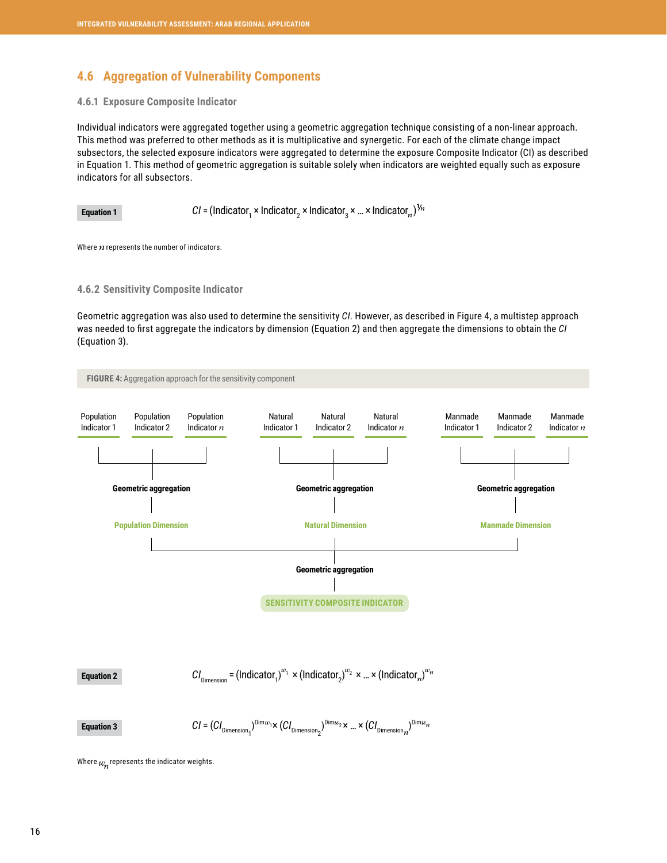## <span id="page-16-0"></span>**4.6 Aggregation of Vulnerability Components**

### **4.6.1 Exposure Composite Indicator**

Individual indicators were aggregated together using a geometric aggregation technique consisting of a non-linear approach. This method was preferred to other methods as it is multiplicative and synergetic. For each of the climate change impact subsectors, the selected exposure indicators were aggregated to determine the exposure Composite Indicator (CI) as described in Equation 1. This method of geometric aggregation is suitable solely when indicators are weighted equally such as exposure indicators for all subsectors.

**Equation 1** 
$$
CI = (Indicator_1 \times Indicator_2 \times Indicator_3 \times ... \times Indicator_n)^{V_n}
$$

Where  $n$  represents the number of indicators.

#### **4.6.2 Sensitivity Composite Indicator**

Geometric aggregation was also used to determine the sensitivity *CI*. However, as described in Figure 4, a multistep approach was needed to first aggregate the indicators by dimension (Equation 2) and then aggregate the dimensions to obtain the *CI* (Equation 3).



 $CI_{\text{Dimension}} = (\text{Indicator}_{1})^{w_{1}} \times (\text{Indicator}_{2})^{w_{2}} \times ... \times (\text{Indicator}_{n})^{w_{n}}$ **Equation 2**

 $CI = (CI_{\text{Dimension}_1})^{\text{Dim}} \times (CI_{\text{Dimension}_2})^{\text{Dim}} \times ... \times (CI_{\text{Dimension}_n})^{\text{Dim}}$ 

Where  $w_n$  represents the indicator weights.

**Equation 3**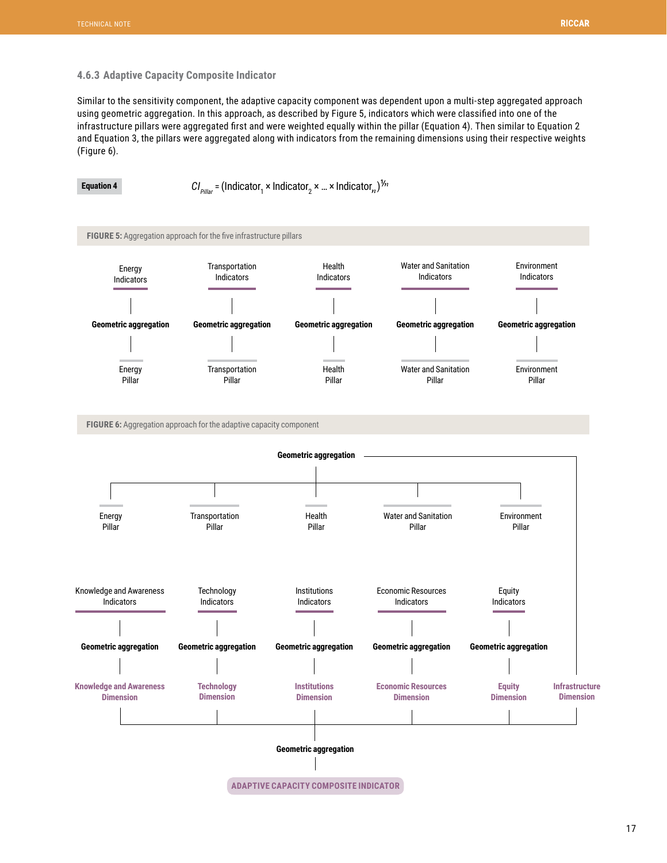### <span id="page-17-0"></span>**4.6.3 Adaptive Capacity Composite Indicator**

Similar to the sensitivity component, the adaptive capacity component was dependent upon a multi-step aggregated approach using geometric aggregation. In this approach, as described by Figure 5, indicators which were classified into one of the infrastructure pillars were aggregated first and were weighted equally within the pillar (Equation 4). Then similar to Equation 2 and Equation 3, the pillars were aggregated along with indicators from the remaining dimensions using their respective weights (Figure 6).

**Equation 4 CI**<sub>Pillar</sub> = (Indicator<sub>1</sub> × Indicator<sub>2</sub> × … × Indicator<sub>*n*</sub>)</sub>

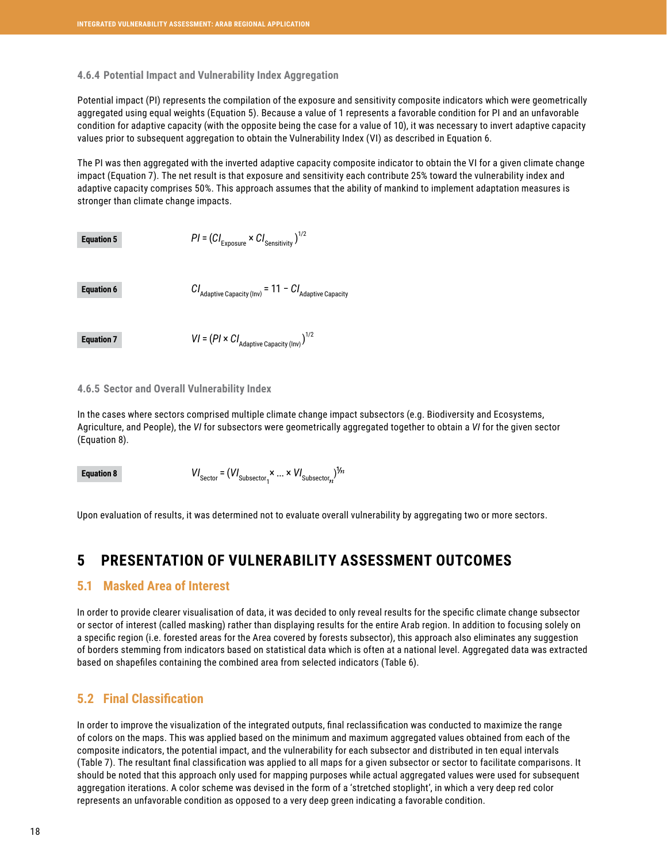### <span id="page-18-0"></span>**4.6.4 Potential Impact and Vulnerability Index Aggregation**

Potential impact (PI) represents the compilation of the exposure and sensitivity composite indicators which were geometrically aggregated using equal weights (Equation 5). Because a value of 1 represents a favorable condition for PI and an unfavorable condition for adaptive capacity (with the opposite being the case for a value of 10), it was necessary to invert adaptive capacity values prior to subsequent aggregation to obtain the Vulnerability Index (VI) as described in Equation 6.

The PI was then aggregated with the inverted adaptive capacity composite indicator to obtain the VI for a given climate change impact (Equation 7). The net result is that exposure and sensitivity each contribute 25% toward the vulnerability index and adaptive capacity comprises 50%. This approach assumes that the ability of mankind to implement adaptation measures is stronger than climate change impacts.

| <b>Equation 5</b> | $PI = (CI_{\text{Exposure}} \times CI_{\text{Sensitivity}})^{1/2}$         |
|-------------------|----------------------------------------------------------------------------|
| <b>Equation 6</b> | $CI_{\text{Adaptive Capacity (Inv)}} = 11 - CI_{\text{Adaptive Capacity}}$ |
| <b>Equation 7</b> | $VI = (PI \times CI_{\text{Adaptive Capacity (Inv)})}^{1/2}$               |

#### **4.6.5 Sector and Overall Vulnerability Index**

In the cases where sectors comprised multiple climate change impact subsectors (e.g. Biodiversity and Ecosystems, Agriculture, and People), the *VI* for subsectors were geometrically aggregated together to obtain a *VI* for the given sector (Equation 8).

 $VI_{\text{sector}} = (VI_{\text{Subsector}} \times ... \times VI_{\text{Subsector}})$ **Equation 8**

Upon evaluation of results, it was determined not to evaluate overall vulnerability by aggregating two or more sectors.

# **5 PRESENTATION OF VULNERABILITY ASSESSMENT OUTCOMES**

## **5.1 Masked Area of Interest**

In order to provide clearer visualisation of data, it was decided to only reveal results for the specific climate change subsector or sector of interest (called masking) rather than displaying results for the entire Arab region. In addition to focusing solely on a specific region (i.e. forested areas for the Area covered by forests subsector), this approach also eliminates any suggestion of borders stemming from indicators based on statistical data which is often at a national level. Aggregated data was extracted based on shapefiles containing the combined area from selected indicators (Table 6).

## **5.2 Final Classification**

In order to improve the visualization of the integrated outputs, final reclassification was conducted to maximize the range of colors on the maps. This was applied based on the minimum and maximum aggregated values obtained from each of the composite indicators, the potential impact, and the vulnerability for each subsector and distributed in ten equal intervals (Table 7). The resultant final classification was applied to all maps for a given subsector or sector to facilitate comparisons. It should be noted that this approach only used for mapping purposes while actual aggregated values were used for subsequent aggregation iterations. A color scheme was devised in the form of a 'stretched stoplight', in which a very deep red color represents an unfavorable condition as opposed to a very deep green indicating a favorable condition.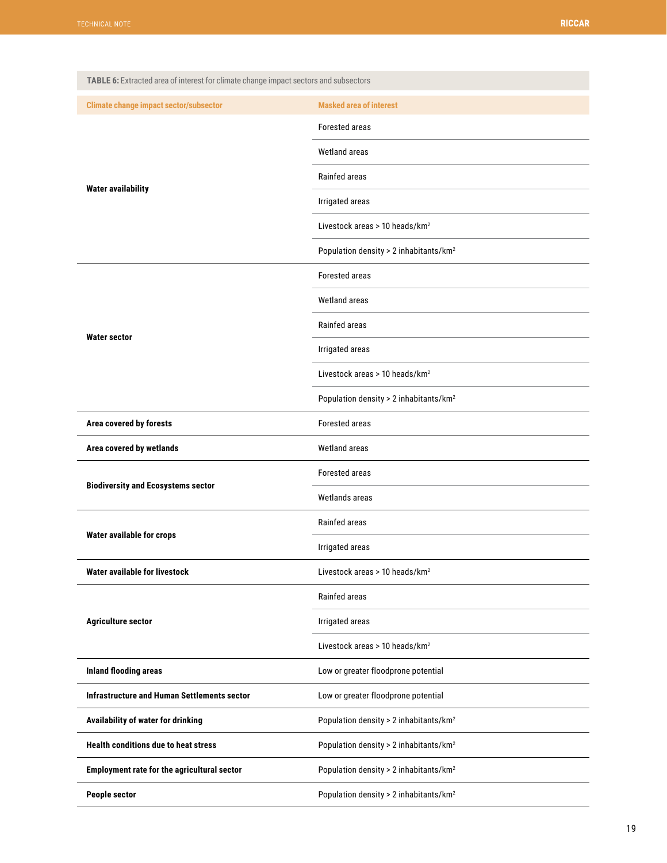<span id="page-19-0"></span>

| TABLE 6: Extracted area of interest for climate change impact sectors and subsectors |                                                    |
|--------------------------------------------------------------------------------------|----------------------------------------------------|
| <b>Climate change impact sector/subsector</b>                                        | <b>Masked area of interest</b>                     |
|                                                                                      | Forested areas                                     |
|                                                                                      | <b>Wetland areas</b>                               |
|                                                                                      | Rainfed areas                                      |
| <b>Water availability</b>                                                            | Irrigated areas                                    |
|                                                                                      | Livestock areas > 10 heads/km <sup>2</sup>         |
|                                                                                      | Population density > 2 inhabitants/km <sup>2</sup> |
|                                                                                      | Forested areas                                     |
|                                                                                      | <b>Wetland areas</b>                               |
|                                                                                      | Rainfed areas                                      |
| <b>Water sector</b>                                                                  | Irrigated areas                                    |
|                                                                                      | Livestock areas > 10 heads/km <sup>2</sup>         |
|                                                                                      | Population density > 2 inhabitants/km <sup>2</sup> |
| Area covered by forests                                                              | Forested areas                                     |
|                                                                                      | Wetland areas                                      |
| Area covered by wetlands                                                             |                                                    |
|                                                                                      | Forested areas                                     |
| <b>Biodiversity and Ecosystems sector</b>                                            | Wetlands areas                                     |
|                                                                                      | Rainfed areas                                      |
| Water available for crops                                                            | Irrigated areas                                    |
| Water available for livestock                                                        | Livestock areas > 10 heads/km <sup>2</sup>         |
|                                                                                      | Rainfed areas                                      |
| <b>Agriculture sector</b>                                                            | Irrigated areas                                    |
|                                                                                      | Livestock areas > 10 heads/km <sup>2</sup>         |
| <b>Inland flooding areas</b>                                                         | Low or greater floodprone potential                |
| Infrastructure and Human Settlements sector                                          | Low or greater floodprone potential                |
| Availability of water for drinking                                                   | Population density > 2 inhabitants/km <sup>2</sup> |
| <b>Health conditions due to heat stress</b>                                          | Population density > 2 inhabitants/km <sup>2</sup> |
| Employment rate for the agricultural sector                                          | Population density > 2 inhabitants/km <sup>2</sup> |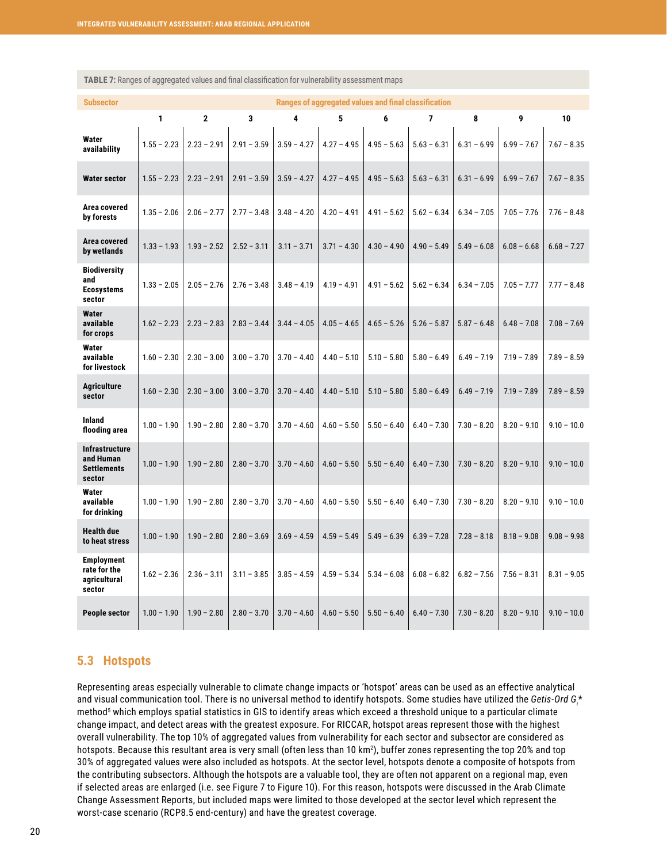| <b>Subsector</b>                                            |               | Ranges of aggregated values and final classification |               |               |               |               |               |               |               |               |
|-------------------------------------------------------------|---------------|------------------------------------------------------|---------------|---------------|---------------|---------------|---------------|---------------|---------------|---------------|
|                                                             | 1             | $\mathbf{2}$                                         | 3             | 4             | 5             | 6             | 7             | 8             | 9             | 10            |
| Water<br>availability                                       | $1.55 - 2.23$ | $2.23 - 2.91$                                        | $2.91 - 3.59$ | $3.59 - 4.27$ | $4.27 - 4.95$ | $4.95 - 5.63$ | $5.63 - 6.31$ | $6.31 - 6.99$ | $6.99 - 7.67$ | $7.67 - 8.35$ |
| <b>Water sector</b>                                         | $1.55 - 2.23$ | $2.23 - 2.91$                                        | $2.91 - 3.59$ | $3.59 - 4.27$ | $4.27 - 4.95$ | $4.95 - 5.63$ | $5.63 - 6.31$ | $6.31 - 6.99$ | $6.99 - 7.67$ | $7.67 - 8.35$ |
| Area covered<br>by forests                                  | $1.35 - 2.06$ | $2.06 - 2.77$                                        | $2.77 - 3.48$ | $3.48 - 4.20$ | $4.20 - 4.91$ | $4.91 - 5.62$ | $5.62 - 6.34$ | $6.34 - 7.05$ | $7.05 - 7.76$ | $7.76 - 8.48$ |
| Area covered<br>by wetlands                                 | $1.33 - 1.93$ | $1.93 - 2.52$                                        | $2.52 - 3.11$ | $3.11 - 3.71$ | $3.71 - 4.30$ | $4.30 - 4.90$ | $4.90 - 5.49$ | $5.49 - 6.08$ | $6.08 - 6.68$ | $6.68 - 7.27$ |
| <b>Biodiversity</b><br>and<br><b>Ecosystems</b><br>sector   | $1.33 - 2.05$ | $2.05 - 2.76$                                        | $2.76 - 3.48$ | $3.48 - 4.19$ | $4.19 - 4.91$ | $4.91 - 5.62$ | $5.62 - 6.34$ | $6.34 - 7.05$ | $7.05 - 7.77$ | $7.77 - 8.48$ |
| <b>Water</b><br>available<br>for crops                      | $1.62 - 2.23$ | $2.23 - 2.83$                                        | $2.83 - 3.44$ | $3.44 - 4.05$ | $4.05 - 4.65$ | $4.65 - 5.26$ | $5.26 - 5.87$ | $5.87 - 6.48$ | $6.48 - 7.08$ | $7.08 - 7.69$ |
| Water<br>available<br>for livestock                         | $1.60 - 2.30$ | $2.30 - 3.00$                                        | $3.00 - 3.70$ | $3.70 - 4.40$ | $4.40 - 5.10$ | $5.10 - 5.80$ | $5.80 - 6.49$ | $6.49 - 7.19$ | $7.19 - 7.89$ | $7.89 - 8.59$ |
| <b>Agriculture</b><br>sector                                | $1.60 - 2.30$ | $2.30 - 3.00$                                        | $3.00 - 3.70$ | $3.70 - 4.40$ | $4.40 - 5.10$ | $5.10 - 5.80$ | $5.80 - 6.49$ | $6.49 - 7.19$ | $7.19 - 7.89$ | $7.89 - 8.59$ |
| Inland<br>flooding area                                     | $1.00 - 1.90$ | $1.90 - 2.80$                                        | $2.80 - 3.70$ | $3.70 - 4.60$ | $4.60 - 5.50$ | $5.50 - 6.40$ | $6.40 - 7.30$ | $7.30 - 8.20$ | $8.20 - 9.10$ | $9.10 - 10.0$ |
| Infrastructure<br>and Human<br><b>Settlements</b><br>sector | $1.00 - 1.90$ | $1.90 - 2.80$                                        | $2.80 - 3.70$ | $3.70 - 4.60$ | $4.60 - 5.50$ | $5.50 - 6.40$ | $6.40 - 7.30$ | $7.30 - 8.20$ | $8.20 - 9.10$ | $9.10 - 10.0$ |
| Water<br>available<br>for drinking                          | $1.00 - 1.90$ | $1.90 - 2.80$                                        | $2.80 - 3.70$ | $3.70 - 4.60$ | $4.60 - 5.50$ | $5.50 - 6.40$ | $6.40 - 7.30$ | $7.30 - 8.20$ | $8.20 - 9.10$ | $9.10 - 10.0$ |
| <b>Health due</b><br>to heat stress                         | $1.00 - 1.90$ | $1.90 - 2.80$                                        | $2.80 - 3.69$ | $3.69 - 4.59$ | $4.59 - 5.49$ | $5.49 - 6.39$ | $6.39 - 7.28$ | $7.28 - 8.18$ | $8.18 - 9.08$ | $9.08 - 9.98$ |
| <b>Employment</b><br>rate for the<br>agricultural<br>sector | $1.62 - 2.36$ | $2.36 - 3.11$                                        | $3.11 - 3.85$ | $3.85 - 4.59$ | $4.59 - 5.34$ | $5.34 - 6.08$ | $6.08 - 6.82$ | $6.82 - 7.56$ | $7.56 - 8.31$ | $8.31 - 9.05$ |
| People sector                                               | $1.00 - 1.90$ | $1.90 - 2.80$                                        | $2.80 - 3.70$ | $3.70 - 4.60$ | $4.60 - 5.50$ | $5.50 - 6.40$ | $6.40 - 7.30$ | $7.30 - 8.20$ | $8.20 - 9.10$ | $9.10 - 10.0$ |

<span id="page-20-0"></span>**TABLE 7:** Ranges of aggregated values and final classification for vulnerability assessment maps

## **5.3 Hotspots**

Representing areas especially vulnerable to climate change impacts or 'hotspot' areas can be used as an effective analytical and visual communication tool. There is no universal method to identify hotspots. Some studies have utilized the Getis-Ord G<sub>i</sub>\* method<sup>5</sup> which employs spatial statistics in GIS to identify areas which exceed a threshold unique to a particular climate change impact, and detect areas with the greatest exposure. For RICCAR, hotspot areas represent those with the highest overall vulnerability. The top 10% of aggregated values from vulnerability for each sector and subsector are considered as hotspots. Because this resultant area is very small (often less than 10 km²), buffer zones representing the top 20% and top 30% of aggregated values were also included as hotspots. At the sector level, hotspots denote a composite of hotspots from the contributing subsectors. Although the hotspots are a valuable tool, they are often not apparent on a regional map, even if selected areas are enlarged (i.e. see Figure 7 to Figure 10). For this reason, hotspots were discussed in the Arab Climate Change Assessment Reports, but included maps were limited to those developed at the sector level which represent the worst-case scenario (RCP8.5 end-century) and have the greatest coverage.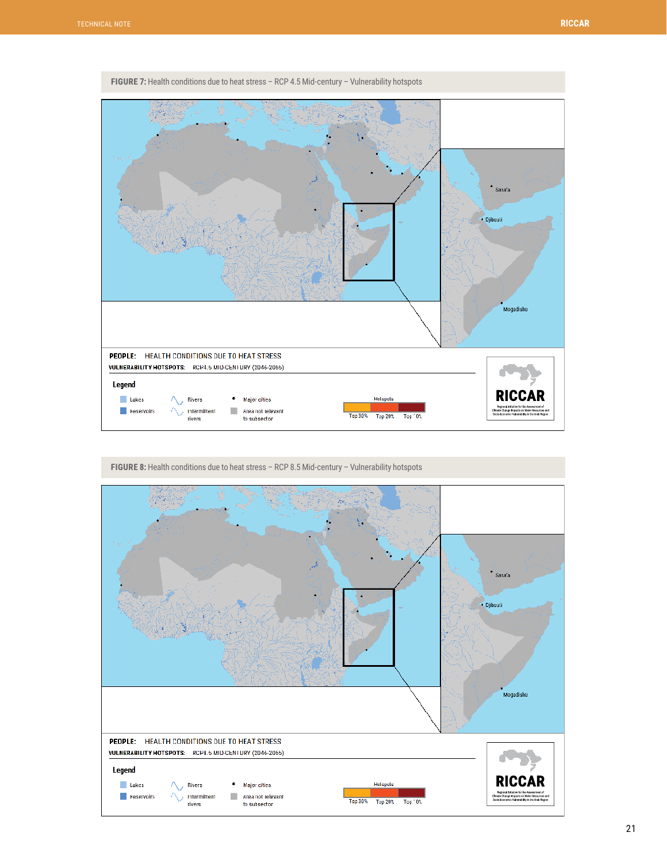<span id="page-21-0"></span>

**FIGURE 7:** Health conditions due to heat stress – RCP 4.5 Mid-century – Vulnerability hotspots



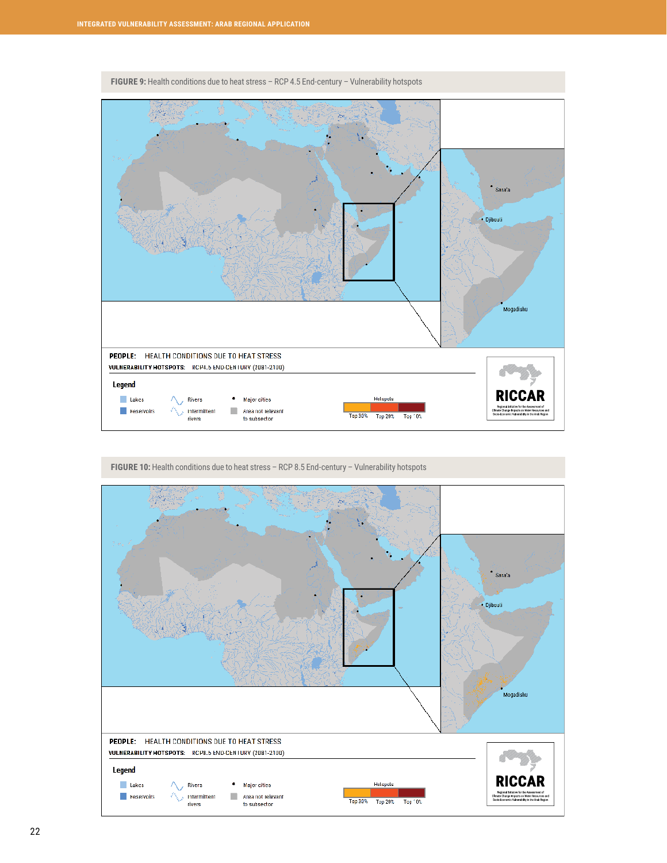<span id="page-22-0"></span>

**FIGURE 9:** Health conditions due to heat stress – RCP 4.5 End-century – Vulnerability hotspots

FIGURE 10: Health conditions due to heat stress - RCP 8.5 End-century - Vulnerability hotspots

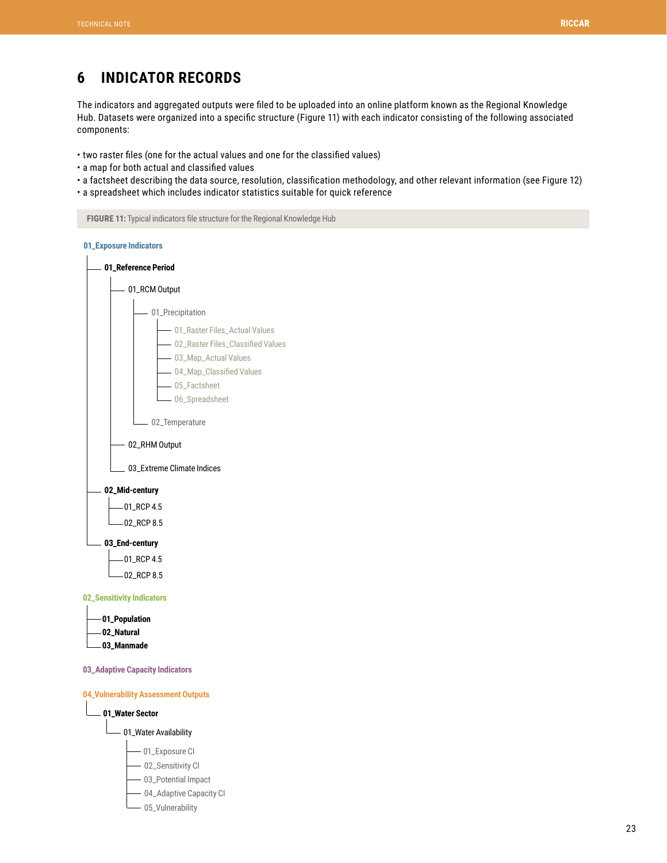# <span id="page-23-0"></span>**6 INDICATOR RECORDS**

The indicators and aggregated outputs were filed to be uploaded into an online platform known as the Regional Knowledge Hub. Datasets were organized into a specific structure (Figure 11) with each indicator consisting of the following associated components:

- two raster files (one for the actual values and one for the classified values)
- a map for both actual and classified values
- a factsheet describing the data source, resolution, classification methodology, and other relevant information (see Figure 12)
- a spreadsheet which includes indicator statistics suitable for quick reference

**FIGURE 11:** Typical indicators file structure for the Regional Knowledge Hub





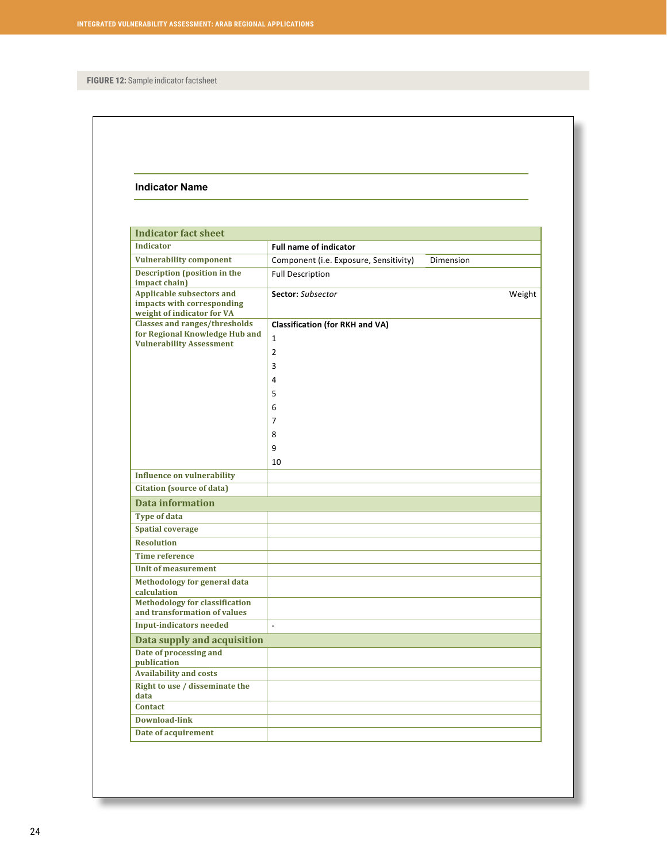**FIGURE 12:** Sample indicator factsheet

#### **Indicator Name**

| <b>Indicator fact sheet</b>                                                                               |                                                                                                                   |           |  |  |  |  |  |  |
|-----------------------------------------------------------------------------------------------------------|-------------------------------------------------------------------------------------------------------------------|-----------|--|--|--|--|--|--|
| <b>Indicator</b>                                                                                          | <b>Full name of indicator</b>                                                                                     |           |  |  |  |  |  |  |
| <b>Vulnerability component</b>                                                                            | Component (i.e. Exposure, Sensitivity)                                                                            | Dimension |  |  |  |  |  |  |
| Description (position in the<br>impact chain)                                                             | <b>Full Description</b>                                                                                           |           |  |  |  |  |  |  |
| <b>Applicable subsectors and</b><br>impacts with corresponding<br>weight of indicator for VA              | <b>Sector:</b> Subsector                                                                                          | Weight    |  |  |  |  |  |  |
| <b>Classes and ranges/thresholds</b><br>for Regional Knowledge Hub and<br><b>Vulnerability Assessment</b> | <b>Classification (for RKH and VA)</b><br>$\mathbf{1}$<br>$\overline{2}$<br>3<br>4<br>5<br>6<br>7<br>8<br>9<br>10 |           |  |  |  |  |  |  |
| <b>Influence on vulnerability</b>                                                                         |                                                                                                                   |           |  |  |  |  |  |  |
| <b>Citation (source of data)</b>                                                                          |                                                                                                                   |           |  |  |  |  |  |  |
| <b>Data information</b>                                                                                   |                                                                                                                   |           |  |  |  |  |  |  |
| <b>Type of data</b>                                                                                       |                                                                                                                   |           |  |  |  |  |  |  |
| <b>Spatial coverage</b>                                                                                   |                                                                                                                   |           |  |  |  |  |  |  |
| <b>Resolution</b>                                                                                         |                                                                                                                   |           |  |  |  |  |  |  |
| <b>Time reference</b>                                                                                     |                                                                                                                   |           |  |  |  |  |  |  |
| <b>Unit of measurement</b>                                                                                |                                                                                                                   |           |  |  |  |  |  |  |
| Methodology for general data<br>calculation<br><b>Methodology for classification</b>                      |                                                                                                                   |           |  |  |  |  |  |  |
| and transformation of values                                                                              |                                                                                                                   |           |  |  |  |  |  |  |
| <b>Input-indicators needed</b>                                                                            | $\overline{a}$                                                                                                    |           |  |  |  |  |  |  |
| Data supply and acquisition                                                                               |                                                                                                                   |           |  |  |  |  |  |  |
| Date of processing and<br>publication<br><b>Availability and costs</b>                                    |                                                                                                                   |           |  |  |  |  |  |  |
| <b>Right to use / disseminate the</b><br>data                                                             |                                                                                                                   |           |  |  |  |  |  |  |
| <b>Contact</b>                                                                                            |                                                                                                                   |           |  |  |  |  |  |  |
| <b>Download-link</b>                                                                                      |                                                                                                                   |           |  |  |  |  |  |  |
| Date of acquirement                                                                                       |                                                                                                                   |           |  |  |  |  |  |  |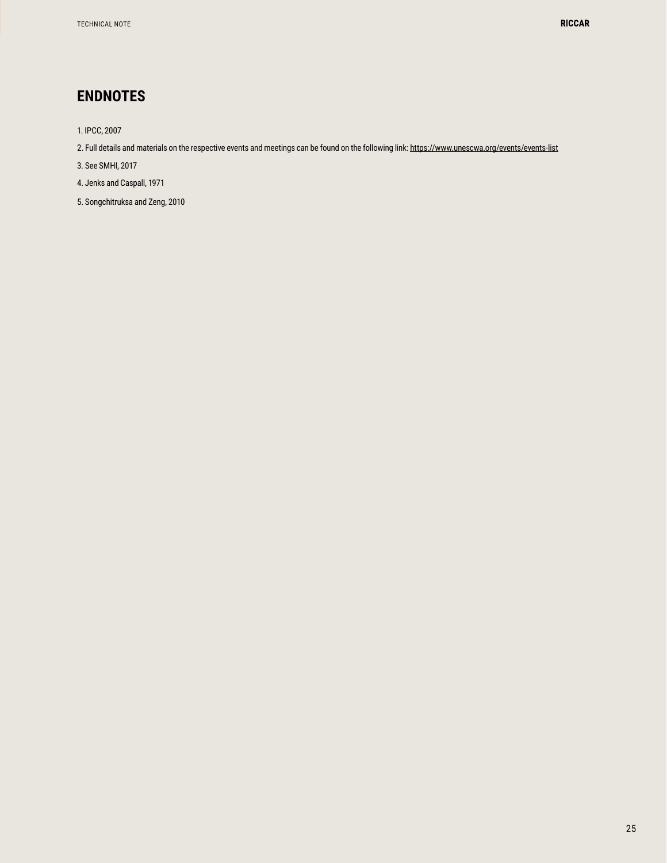# <span id="page-25-0"></span>**ENDNOTES**

- 1. IPCC, 2007
- 2. Full details and materials on the respective events and meetings can be found on the following link: https://www.unescwa.org/events/events-list
- 3. See SMHI, 2017
- 4. Jenks and Caspall, 1971
- 5. Songchitruksa and Zeng, 2010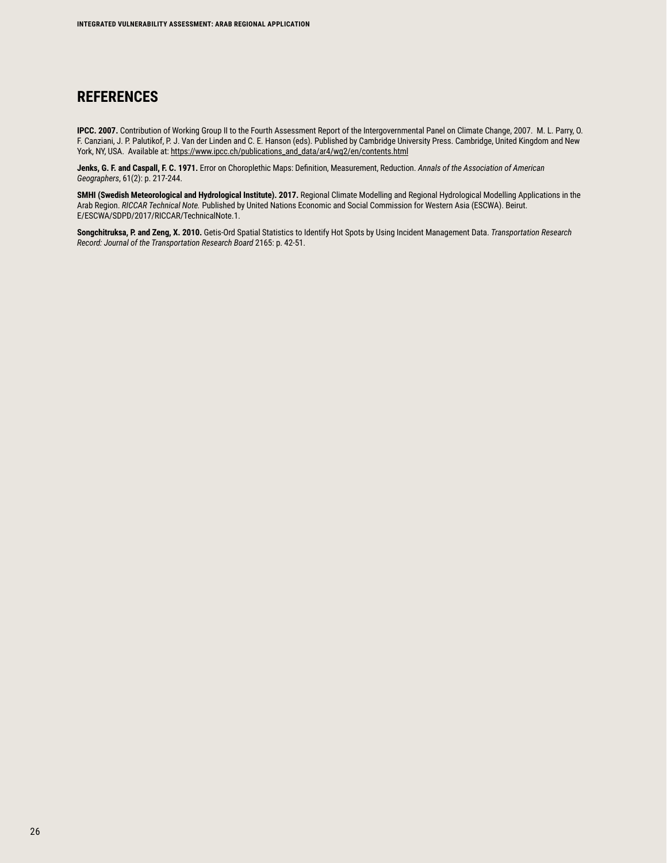## **REFERENCES**

**IPCC. 2007.** Contribution of Working Group II to the Fourth Assessment Report of the Intergovernmental Panel on Climate Change, 2007. M. L. Parry, O. F. Canziani, J. P. Palutikof, P. J. Van der Linden and C. E. Hanson (eds). Published by Cambridge University Press. Cambridge, United Kingdom and New York, NY, USA. Available at: https://www.ipcc.ch/publications\_and\_data/ar4/wg2/en/contents.html

**Jenks, G. F. and Caspall, F. C. 1971.** Error on Choroplethic Maps: Definition, Measurement, Reduction. *Annals of the Association of American Geographers*, 61(2): p. 217-244.

**SMHI (Swedish Meteorological and Hydrological Institute). 2017.** Regional Climate Modelling and Regional Hydrological Modelling Applications in the Arab Region. *RICCAR Technical Note.* Published by United Nations Economic and Social Commission for Western Asia (ESCWA). Beirut. E/ESCWA/SDPD/2017/RICCAR/TechnicalNote.1.

**Songchitruksa, P. and Zeng, X. 2010.** Getis-Ord Spatial Statistics to Identify Hot Spots by Using Incident Management Data. *Transportation Research Record: Journal of the Transportation Research Board* 2165: p. 42-51.